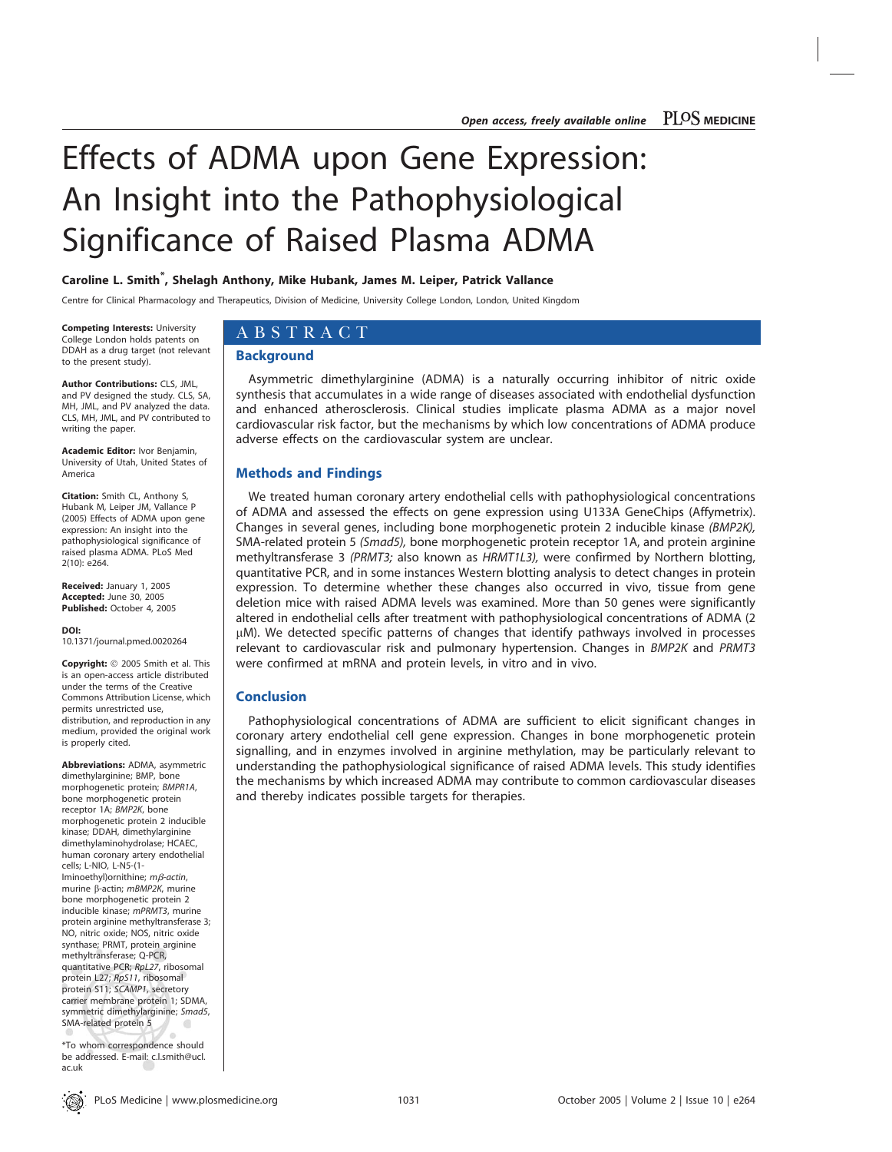# Effects of ADMA upon Gene Expression: An Insight into the Pathophysiological Significance of Raised Plasma ADMA

# Caroline L. Smith<sup>\*</sup>, Shelagh Anthony, Mike Hubank, James M. Leiper, Patrick Vallance

Centre for Clinical Pharmacology and Therapeutics, Division of Medicine, University College London, London, United Kingdom

Competing Interests: University College London holds patents on DDAH as a drug target (not relevant to the present study).

Author Contributions: CLS, JML, and PV designed the study. CLS, SA, MH, JML, and PV analyzed the data. CLS, MH, JML, and PV contributed to writing the paper.

Academic Editor: Ivor Benjamin, University of Utah, United States of America

Citation: Smith CL, Anthony S, Hubank M, Leiper JM, Vallance P (2005) Effects of ADMA upon gene expression: An insight into the pathophysiological significance of raised plasma ADMA. PLoS Med 2(10): e264.

Received: January 1, 2005 Accepted: June 30, 2005 Published: October 4, 2005

DOI: 10.1371/journal.pmed.0020264

Copyright: © 2005 Smith et al. This is an open-access article distributed under the terms of the Creative Commons Attribution License, which permits unrestricted use, distribution, and reproduction in any medium, provided the original work is properly cited.

Abbreviations: ADMA, asymmetric dimethylarginine; BMP, bone morphogenetic protein; BMPR1A, bone morphogenetic protein receptor 1A; BMP2K, bone morphogenetic protein 2 inducible kinase; DDAH, dimethylarginine dimethylaminohydrolase; HCAEC, human coronary artery endothelial cells; L-NIO, L-N5-(1- Iminoethyl)ornithine;  $m\beta$ -actin, murine  $\beta$ -actin; mBMP2K, murine bone morphogenetic protein 2 inducible kinase; mPRMT3, murine protein arginine methyltransferase 3; NO, nitric oxide; NOS, nitric oxide synthase; PRMT, protein arginine methyltransferase; Q-PCR, quantitative PCR; RpL27, ribosomal protein L27; RpS11, ribosomal protein S11; SCAMP1, secretory carrier membrane protein 1; SDMA, symmetric dimethylarginine; Smad5, SMA-related protein 5  $\left( \frac{1}{2} \right)$ 

\*To whom correspondence should be addressed. E-mail: c.l.smith@ucl. ac.uk

 $\circledast$ 

# ABSTRACT

## **Background**

Asymmetric dimethylarginine (ADMA) is a naturally occurring inhibitor of nitric oxide synthesis that accumulates in a wide range of diseases associated with endothelial dysfunction and enhanced atherosclerosis. Clinical studies implicate plasma ADMA as a major novel cardiovascular risk factor, but the mechanisms by which low concentrations of ADMA produce adverse effects on the cardiovascular system are unclear.

# Methods and Findings

We treated human coronary artery endothelial cells with pathophysiological concentrations of ADMA and assessed the effects on gene expression using U133A GeneChips (Affymetrix). Changes in several genes, including bone morphogenetic protein 2 inducible kinase (BMP2K), SMA-related protein 5 (Smad5), bone morphogenetic protein receptor 1A, and protein arginine methyltransferase 3 (PRMT3; also known as HRMT1L3), were confirmed by Northern blotting, quantitative PCR, and in some instances Western blotting analysis to detect changes in protein expression. To determine whether these changes also occurred in vivo, tissue from gene deletion mice with raised ADMA levels was examined. More than 50 genes were significantly altered in endothelial cells after treatment with pathophysiological concentrations of ADMA (2 lM). We detected specific patterns of changes that identify pathways involved in processes relevant to cardiovascular risk and pulmonary hypertension. Changes in BMP2K and PRMT3 were confirmed at mRNA and protein levels, in vitro and in vivo.

# Conclusion

Pathophysiological concentrations of ADMA are sufficient to elicit significant changes in coronary artery endothelial cell gene expression. Changes in bone morphogenetic protein signalling, and in enzymes involved in arginine methylation, may be particularly relevant to understanding the pathophysiological significance of raised ADMA levels. This study identifies the mechanisms by which increased ADMA may contribute to common cardiovascular diseases and thereby indicates possible targets for therapies.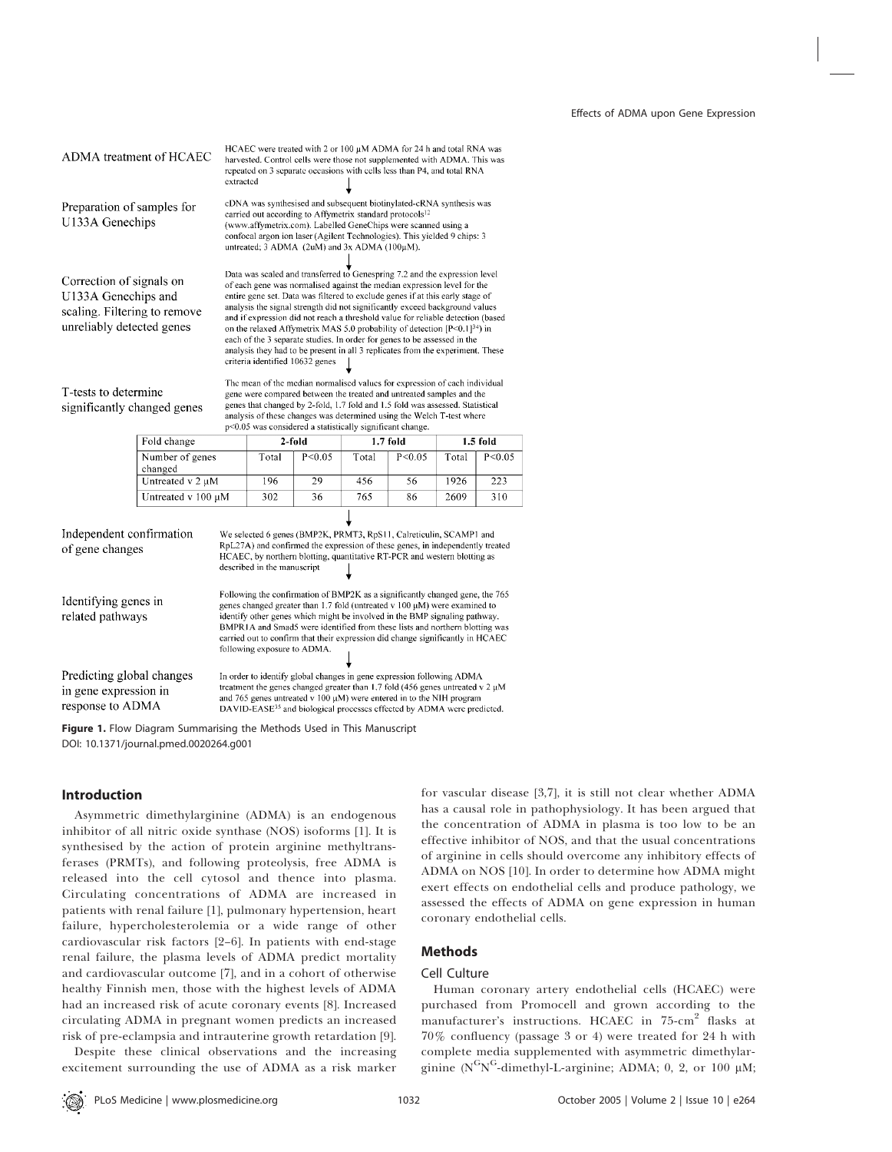| ADMA treatment of HCAEC                                                                                      |                            | HCAEC were treated with 2 or 100 µM ADMA for 24 h and total RNA was<br>harvested. Control cells were those not supplemented with ADMA. This was<br>repeated on 3 separate occasions with cells less than P4, and total RNA<br>extracted                                                                                                                                                                                                                                                                                                                                                                                                                                                     |                             |                                                                                                                                                                                                                                                                                                                                                                                                                 |       |            |       |            |
|--------------------------------------------------------------------------------------------------------------|----------------------------|---------------------------------------------------------------------------------------------------------------------------------------------------------------------------------------------------------------------------------------------------------------------------------------------------------------------------------------------------------------------------------------------------------------------------------------------------------------------------------------------------------------------------------------------------------------------------------------------------------------------------------------------------------------------------------------------|-----------------------------|-----------------------------------------------------------------------------------------------------------------------------------------------------------------------------------------------------------------------------------------------------------------------------------------------------------------------------------------------------------------------------------------------------------------|-------|------------|-------|------------|
| Preparation of samples for<br>U133A Genechips                                                                |                            | cDNA was synthesised and subsequent biotinylated-cRNA synthesis was<br>carried out according to Affymetrix standard protocols <sup>12</sup><br>(www.affymetrix.com). Labelled GeneChips were scanned using a<br>confocal argon ion laser (Agilent Technologies). This yielded 9 chips: 3<br>untreated; $3$ ADMA (2uM) and $3x$ ADMA (100 $\mu$ M).                                                                                                                                                                                                                                                                                                                                          |                             |                                                                                                                                                                                                                                                                                                                                                                                                                 |       |            |       |            |
| Correction of signals on<br>U133A Genechips and<br>scaling. Filtering to remove<br>unreliably detected genes |                            | Data was scaled and transferred to Genespring 7.2 and the expression level<br>of each gene was normalised against the median expression level for the<br>entire gene set. Data was filtered to exclude genes if at this early stage of<br>analysis the signal strength did not significantly exceed background values<br>and if expression did not reach a threshold value for reliable detection (based<br>on the relaxed Affymetrix MAS 5.0 probability of detection $[P<0.1]^{34}$ ) in<br>each of the 3 separate studies. In order for genes to be assessed in the<br>analysis they had to be present in all 3 replicates from the experiment. These<br>criteria identified 10632 genes |                             |                                                                                                                                                                                                                                                                                                                                                                                                                 |       |            |       |            |
| T-tests to determine<br>significantly changed genes                                                          |                            | The mean of the median normalised values for expression of each individual<br>gene were compared between the treated and untreated samples and the<br>genes that changed by 2-fold, 1.7 fold and 1.5 fold was assessed. Statistical<br>analysis of these changes was determined using the Welch T-test where<br>p<0.05 was considered a statistically significant change.                                                                                                                                                                                                                                                                                                                   |                             |                                                                                                                                                                                                                                                                                                                                                                                                                 |       |            |       |            |
|                                                                                                              |                            |                                                                                                                                                                                                                                                                                                                                                                                                                                                                                                                                                                                                                                                                                             |                             |                                                                                                                                                                                                                                                                                                                                                                                                                 |       |            |       |            |
|                                                                                                              | Fold change                |                                                                                                                                                                                                                                                                                                                                                                                                                                                                                                                                                                                                                                                                                             |                             | 2-fold                                                                                                                                                                                                                                                                                                                                                                                                          |       | $1.7$ fold |       | $1.5$ fold |
|                                                                                                              | Number of genes<br>changed |                                                                                                                                                                                                                                                                                                                                                                                                                                                                                                                                                                                                                                                                                             | Total                       | P < 0.05                                                                                                                                                                                                                                                                                                                                                                                                        | Total | P < 0.05   | Total | P < 0.05   |
|                                                                                                              | Untreated v 2 µM           |                                                                                                                                                                                                                                                                                                                                                                                                                                                                                                                                                                                                                                                                                             | 196                         | 29                                                                                                                                                                                                                                                                                                                                                                                                              | 456   | 56         | 1926  | 223        |
|                                                                                                              | Untreated v 100 µM         |                                                                                                                                                                                                                                                                                                                                                                                                                                                                                                                                                                                                                                                                                             | 302                         | 36                                                                                                                                                                                                                                                                                                                                                                                                              | 765   | 86         | 2609  | 310        |
| Independent confirmation<br>of gene changes                                                                  |                            |                                                                                                                                                                                                                                                                                                                                                                                                                                                                                                                                                                                                                                                                                             | described in the manuscript | We selected 6 genes (BMP2K, PRMT3, RpS11, Calreticulin, SCAMP1 and<br>RpL27A) and confirmed the expression of these genes, in independently treated<br>HCAEC, by northern blotting, quantitative RT-PCR and western blotting as                                                                                                                                                                                 |       |            |       |            |
| Identifying genes in<br>related pathways                                                                     |                            |                                                                                                                                                                                                                                                                                                                                                                                                                                                                                                                                                                                                                                                                                             | following exposure to ADMA. | Following the confirmation of BMP2K as a significantly changed gene, the 765<br>genes changed greater than 1.7 fold (untreated $v$ 100 $\mu$ M) were examined to<br>identify other genes which might be involved in the BMP signaling pathway.<br>BMPR1A and Smad5 were identified from these lists and northern blotting was<br>carried out to confirm that their expression did change significantly in HCAEC |       |            |       |            |

Figure 1. Flow Diagram Summarising the Methods Used in This Manuscript DOI: 10.1371/journal.pmed.0020264.g001

## Introduction

Asymmetric dimethylarginine (ADMA) is an endogenous inhibitor of all nitric oxide synthase (NOS) isoforms [1]. It is synthesised by the action of protein arginine methyltransferases (PRMTs), and following proteolysis, free ADMA is released into the cell cytosol and thence into plasma. Circulating concentrations of ADMA are increased in patients with renal failure [1], pulmonary hypertension, heart failure, hypercholesterolemia or a wide range of other cardiovascular risk factors [2–6]. In patients with end-stage renal failure, the plasma levels of ADMA predict mortality and cardiovascular outcome [7], and in a cohort of otherwise healthy Finnish men, those with the highest levels of ADMA had an increased risk of acute coronary events [8]. Increased circulating ADMA in pregnant women predicts an increased risk of pre-eclampsia and intrauterine growth retardation [9].

Despite these clinical observations and the increasing excitement surrounding the use of ADMA as a risk marker

for vascular disease [3,7], it is still not clear whether ADMA has a causal role in pathophysiology. It has been argued that the concentration of ADMA in plasma is too low to be an effective inhibitor of NOS, and that the usual concentrations of arginine in cells should overcome any inhibitory effects of ADMA on NOS [10]. In order to determine how ADMA might exert effects on endothelial cells and produce pathology, we assessed the effects of ADMA on gene expression in human coronary endothelial cells.

# Methods

## Cell Culture

Human coronary artery endothelial cells (HCAEC) were purchased from Promocell and grown according to the manufacturer's instructions. HCAEC in 75-cm<sup>2</sup> flasks at 70% confluency (passage 3 or 4) were treated for 24 h with complete media supplemented with asymmetric dimethylarginine ( $N<sup>G</sup>N<sup>G</sup>$ -dimethyl-L-arginine; ADMA; 0, 2, or 100  $\mu$ M;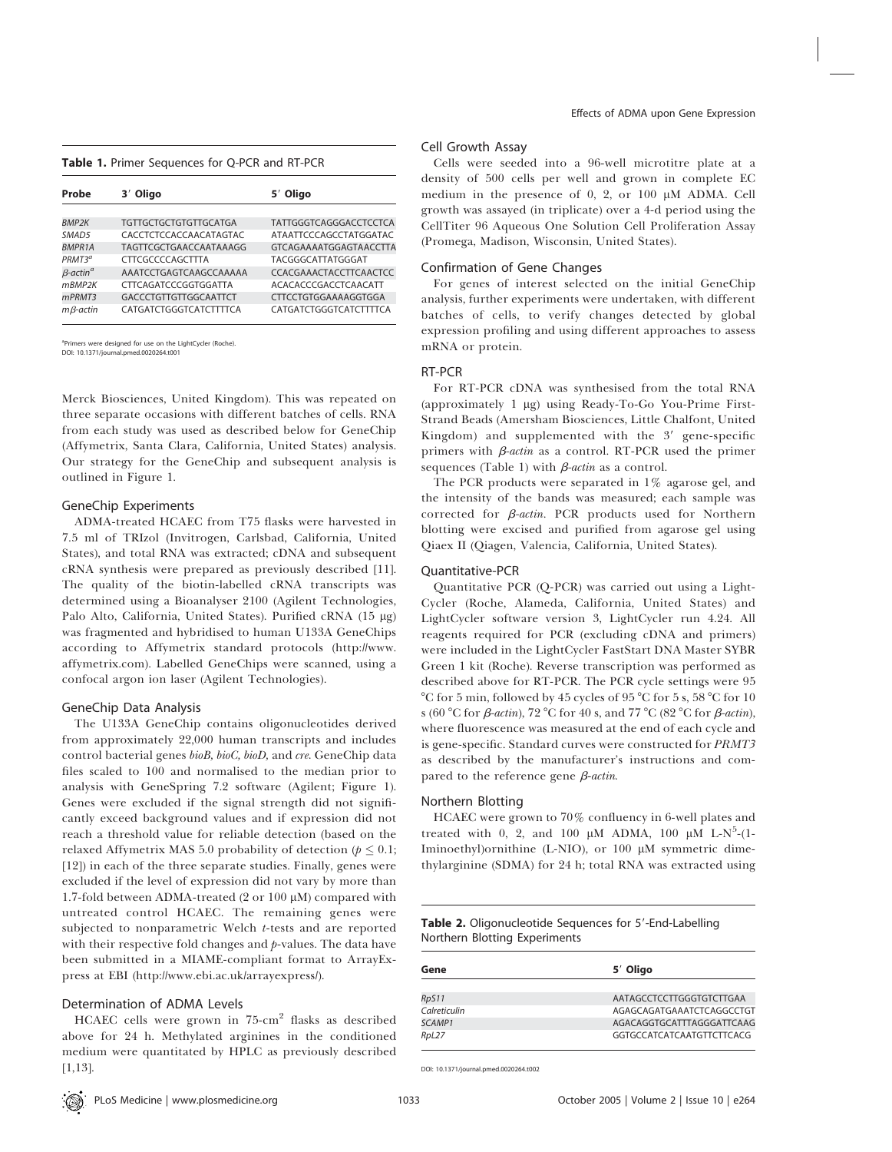#### Table 1. Primer Sequences for Q-PCR and RT-PCR

| Probe                       | 3 <sup>'</sup> Oligo         | 5 <sup>'</sup> Oligo   |
|-----------------------------|------------------------------|------------------------|
|                             |                              |                        |
| <b>BMP2K</b>                | <b>TGTTGCTGCTGTGTTGCATGA</b> | TATTGGGTCAGGGACCTCCTCA |
| SMAD <sub>5</sub>           | CACCTCTCCACCAACATAGTAC       | ATAATTCCCAGCCTATGGATAC |
| <b>BMPR1A</b>               | TAGTTCGCTGAACCAATAAAGG       | GTCAGAAAATGGAGTAACCTTA |
| PRMT3 <sup>a</sup>          | <b>CTTCGCCCCAGCTTTA</b>      | TACGGGCATTATGGGAT      |
| $\beta$ -actin <sup>a</sup> | AAATCCTGAGTCAAGCCAAAAA       | CCACGAAACTACCTTCAACTCC |
| mRMP <sub>2K</sub>          | CTTCAGATCCCGGTGGATTA         | ACACACCCGACCTCAACATT   |
| mPRMT3                      | <b>GACCCTGTTGTTGGCAATTCT</b> | CTTCCTGTGGAAAAGGTGGA   |
| $m\beta$ -actin             | CATGATCTGGGTCATCTTTTCA       | CATGATCTGGGTCATCTTTTCA |

a ners were designed for use on the LightCycler (Roche). DOI: 10.1371/journal.pmed.0020264.t001

Merck Biosciences, United Kingdom). This was repeated on three separate occasions with different batches of cells. RNA from each study was used as described below for GeneChip (Affymetrix, Santa Clara, California, United States) analysis. Our strategy for the GeneChip and subsequent analysis is outlined in Figure 1.

#### GeneChip Experiments

ADMA-treated HCAEC from T75 flasks were harvested in 7.5 ml of TRIzol (Invitrogen, Carlsbad, California, United States), and total RNA was extracted; cDNA and subsequent cRNA synthesis were prepared as previously described [11]. The quality of the biotin-labelled cRNA transcripts was determined using a Bioanalyser 2100 (Agilent Technologies, Palo Alto, California, United States). Purified cRNA (15 µg) was fragmented and hybridised to human U133A GeneChips according to Affymetrix standard protocols (http://www. affymetrix.com). Labelled GeneChips were scanned, using a confocal argon ion laser (Agilent Technologies).

#### GeneChip Data Analysis

The U133A GeneChip contains oligonucleotides derived from approximately 22,000 human transcripts and includes control bacterial genes bioB, bioC, bioD, and cre. GeneChip data files scaled to 100 and normalised to the median prior to analysis with GeneSpring 7.2 software (Agilent; Figure 1). Genes were excluded if the signal strength did not significantly exceed background values and if expression did not reach a threshold value for reliable detection (based on the relaxed Affymetrix MAS 5.0 probability of detection ( $p \leq 0.1$ ; [12]) in each of the three separate studies. Finally, genes were excluded if the level of expression did not vary by more than 1.7-fold between ADMA-treated (2 or 100  $\mu$ M) compared with untreated control HCAEC. The remaining genes were subjected to nonparametric Welch t-tests and are reported with their respective fold changes and  $p$ -values. The data have been submitted in a MIAME-compliant format to ArrayExpress at EBI (http://www.ebi.ac.uk/arrayexpress/).

## Determination of ADMA Levels

HCAEC cells were grown in 75-cm<sup>2</sup> flasks as described above for 24 h. Methylated arginines in the conditioned medium were quantitated by HPLC as previously described [1.13].

## Cell Growth Assay

Cells were seeded into a 96-well microtitre plate at a density of 500 cells per well and grown in complete EC medium in the presence of 0, 2, or 100  $\mu$ M ADMA. Cell growth was assayed (in triplicate) over a 4-d period using the CellTiter 96 Aqueous One Solution Cell Proliferation Assay (Promega, Madison, Wisconsin, United States).

## Confirmation of Gene Changes

For genes of interest selected on the initial GeneChip analysis, further experiments were undertaken, with different batches of cells, to verify changes detected by global expression profiling and using different approaches to assess mRNA or protein.

## RT-PCR

For RT-PCR cDNA was synthesised from the total RNA (approximately 1 µg) using Ready-To-Go You-Prime First-Strand Beads (Amersham Biosciences, Little Chalfont, United Kingdom) and supplemented with the  $3'$  gene-specific primers with  $\beta$ -actin as a control. RT-PCR used the primer sequences (Table 1) with  $\beta$ -actin as a control.

The PCR products were separated in 1% agarose gel, and the intensity of the bands was measured; each sample was corrected for  $\beta$ -actin. PCR products used for Northern blotting were excised and purified from agarose gel using Qiaex II (Qiagen, Valencia, California, United States).

## Quantitative-PCR

Quantitative PCR (Q-PCR) was carried out using a Light-Cycler (Roche, Alameda, California, United States) and LightCycler software version 3, LightCycler run 4.24. All reagents required for PCR (excluding cDNA and primers) were included in the LightCycler FastStart DNA Master SYBR Green 1 kit (Roche). Reverse transcription was performed as described above for RT-PCR. The PCR cycle settings were 95  $\degree$ C for 5 min, followed by 45 cycles of 95  $\degree$ C for 5 s, 58  $\degree$ C for 10 s (60 °C for  $\beta$ -actin), 72 °C for 40 s, and 77 °C (82 °C for  $\beta$ -actin), where fluorescence was measured at the end of each cycle and is gene-specific. Standard curves were constructed for PRMT3 as described by the manufacturer's instructions and compared to the reference gene  $\beta$ -actin.

#### Northern Blotting

HCAEC were grown to 70% confluency in 6-well plates and treated with 0, 2, and 100  $\mu$ M ADMA, 100  $\mu$ M L-N<sup>5</sup>-(1-Iminoethyl)ornithine (L-NIO), or 100  $\mu$ M symmetric dimethylarginine (SDMA) for 24 h; total RNA was extracted using

Table 2. Oligonucleotide Sequences for 5'-End-Labelling Northern Blotting Experiments

| Gene         | 5 <sup>'</sup> Oligo      |
|--------------|---------------------------|
|              |                           |
| RpS11        | AATAGCCTCCTTGGGTGTCTTGAA  |
| Calreticulin | AGAGCAGATGAAATCTCAGGCCTGT |
| SCAMP1       | AGACAGGTGCATTTAGGGATTCAAG |
| RpL27        | GGTGCCATCATCAATGTTCTTCACG |

DOI: 10.1371/journal.pmed.0020264.t002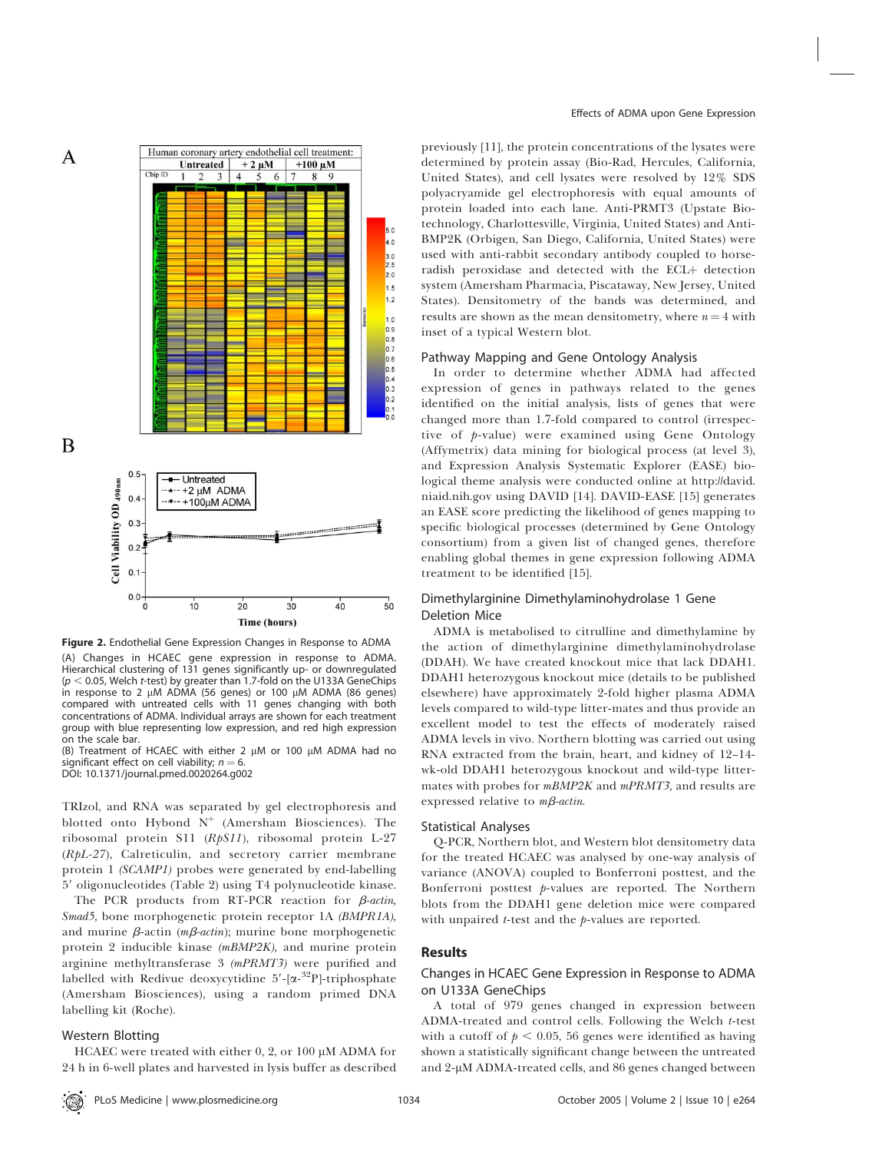

Figure 2. Endothelial Gene Expression Changes in Response to ADMA (A) Changes in HCAEC gene expression in response to ADMA. Hierarchical clustering of 131 genes significantly up- or downregulated  $(p < 0.05$ , Welch t-test) by greater than 1.7-fold on the U133A GeneChips in response to 2  $\mu$ M ADMA (56 genes) or 100  $\mu$ M ADMA (86 genes) compared with untreated cells with 11 genes changing with both concentrations of ADMA. Individual arrays are shown for each treatment group with blue representing low expression, and red high expression on the scale bar.

(B) Treatment of HCAEC with either 2  $\mu$ M or 100  $\mu$ M ADMA had no significant effect on cell viability;  $n = 6$ .

DOI: 10.1371/journal.pmed.0020264.g002

TRIzol, and RNA was separated by gel electrophoresis and blotted onto Hybond  $N^+$  (Amersham Biosciences). The ribosomal protein S11 (RpS11), ribosomal protein L-27 (RpL-27), Calreticulin, and secretory carrier membrane protein 1 (SCAMP1) probes were generated by end-labelling 5' oligonucleotides (Table 2) using T4 polynucleotide kinase.

The PCR products from RT-PCR reaction for  $\beta$ -actin, Smad5, bone morphogenetic protein receptor 1A (BMPR1A), and murine  $\beta$ -actin (*m* $\beta$ *-actin*); murine bone morphogenetic protein 2 inducible kinase (mBMP2K), and murine protein arginine methyltransferase 3 (mPRMT3) were purified and labelled with Redivue deoxycytidine 5'-[a-32P]-triphosphate (Amersham Biosciences), using a random primed DNA labelling kit (Roche).

## Western Blotting

HCAEC were treated with either  $0, 2$ , or  $100 \mu M$  ADMA for 24 h in 6-well plates and harvested in lysis buffer as described

previously [11], the protein concentrations of the lysates were determined by protein assay (Bio-Rad, Hercules, California, United States), and cell lysates were resolved by 12% SDS polyacryamide gel electrophoresis with equal amounts of protein loaded into each lane. Anti-PRMT3 (Upstate Biotechnology, Charlottesville, Virginia, United States) and Anti-BMP2K (Orbigen, San Diego, California, United States) were used with anti-rabbit secondary antibody coupled to horseradish peroxidase and detected with the ECL+ detection system (Amersham Pharmacia, Piscataway, New Jersey, United States). Densitometry of the bands was determined, and results are shown as the mean densitometry, where  $n = 4$  with inset of a typical Western blot.

#### Pathway Mapping and Gene Ontology Analysis

In order to determine whether ADMA had affected expression of genes in pathways related to the genes identified on the initial analysis, lists of genes that were changed more than 1.7-fold compared to control (irrespective of p-value) were examined using Gene Ontology (Affymetrix) data mining for biological process (at level 3), and Expression Analysis Systematic Explorer (EASE) biological theme analysis were conducted online at http://david. niaid.nih.gov using DAVID [14]. DAVID-EASE [15] generates an EASE score predicting the likelihood of genes mapping to specific biological processes (determined by Gene Ontology consortium) from a given list of changed genes, therefore enabling global themes in gene expression following ADMA treatment to be identified [15].

## Dimethylarginine Dimethylaminohydrolase 1 Gene Deletion Mice

ADMA is metabolised to citrulline and dimethylamine by the action of dimethylarginine dimethylaminohydrolase (DDAH). We have created knockout mice that lack DDAH1. DDAH1 heterozygous knockout mice (details to be published elsewhere) have approximately 2-fold higher plasma ADMA levels compared to wild-type litter-mates and thus provide an excellent model to test the effects of moderately raised ADMA levels in vivo. Northern blotting was carried out using RNA extracted from the brain, heart, and kidney of 12–14 wk-old DDAH1 heterozygous knockout and wild-type littermates with probes for mBMP2K and mPRMT3, and results are expressed relative to  $m\beta$ -*actin*.

#### Statistical Analyses

Q-PCR, Northern blot, and Western blot densitometry data for the treated HCAEC was analysed by one-way analysis of variance (ANOVA) coupled to Bonferroni posttest, and the Bonferroni posttest  $p$ -values are reported. The Northern blots from the DDAH1 gene deletion mice were compared with unpaired  $t$ -test and the  $p$ -values are reported.

## Results

## Changes in HCAEC Gene Expression in Response to ADMA on U133A GeneChips

A total of 979 genes changed in expression between ADMA-treated and control cells. Following the Welch t-test with a cutoff of  $p < 0.05$ , 56 genes were identified as having shown a statistically significant change between the untreated and 2-µM ADMA-treated cells, and 86 genes changed between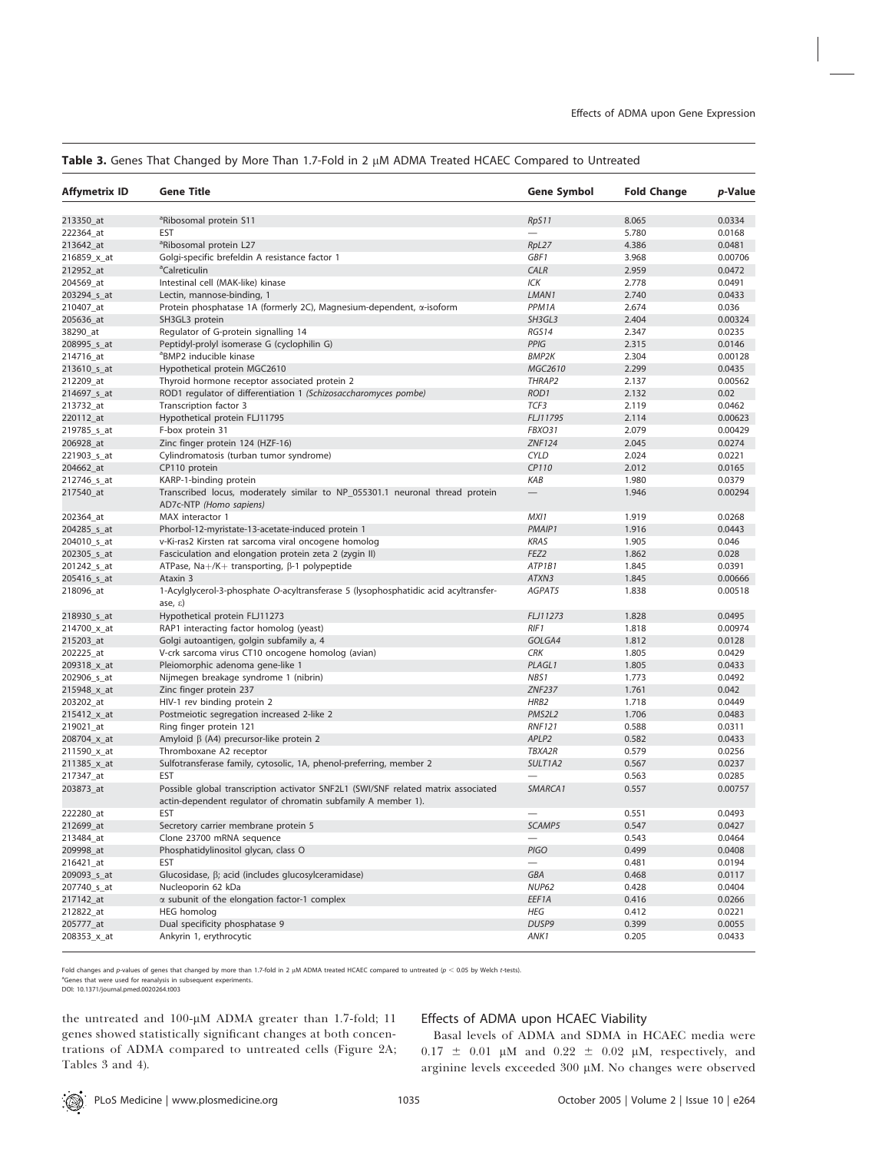## Table 3. Genes That Changed by More Than 1.7-Fold in 2 µM ADMA Treated HCAEC Compared to Untreated

| Affymetrix ID | <b>Gene Title</b>                                                                                           | Gene Symbol         | <b>Fold Change</b> | p-Value |
|---------------|-------------------------------------------------------------------------------------------------------------|---------------------|--------------------|---------|
| 213350_at     | <sup>a</sup> Ribosomal protein S11                                                                          | RpS11               | 8.065              | 0.0334  |
| 222364_at     | <b>EST</b>                                                                                                  |                     | 5.780              | 0.0168  |
| 213642_at     | <sup>a</sup> Ribosomal protein L27                                                                          | RpL27               | 4.386              | 0.0481  |
| 216859_x_at   | Golgi-specific brefeldin A resistance factor 1                                                              | GBF1                | 3.968              | 0.00706 |
| 212952_at     | <sup>a</sup> Calreticulin                                                                                   | CALR                | 2.959              | 0.0472  |
| 204569_at     | Intestinal cell (MAK-like) kinase                                                                           | ICK                 | 2.778              | 0.0491  |
| 203294_s_at   | Lectin, mannose-binding, 1                                                                                  | LMAN1               | 2.740              | 0.0433  |
| 210407_at     | Protein phosphatase 1A (formerly 2C), Magnesium-dependent, $\alpha$ -isoform                                | PPM <sub>1</sub> A  | 2.674              | 0.036   |
| 205636_at     | SH3GL3 protein                                                                                              | SH3GL3              | 2.404              | 0.00324 |
| 38290_at      | Regulator of G-protein signalling 14                                                                        | RGS14               | 2.347              | 0.0235  |
| 208995_s_at   | Peptidyl-prolyl isomerase G (cyclophilin G)                                                                 | PPIG                | 2.315              | 0.0146  |
| 214716_at     | <sup>a</sup> BMP2 inducible kinase                                                                          | <b>BMP2K</b>        | 2.304              | 0.00128 |
| 213610_s_at   | Hypothetical protein MGC2610                                                                                | MGC2610             | 2.299              | 0.0435  |
| 212209_at     | Thyroid hormone receptor associated protein 2                                                               | THRAP2              | 2.137              | 0.00562 |
| 214697_s_at   | ROD1 regulator of differentiation 1 (Schizosaccharomyces pombe)                                             | ROD1                | 2.132              | 0.02    |
| 213732_at     | Transcription factor 3                                                                                      | TCF3                | 2.119              | 0.0462  |
| 220112_at     | Hypothetical protein FLJ11795                                                                               | FLJ11795            | 2.114              | 0.00623 |
| 219785_s_at   | F-box protein 31                                                                                            | FBXO31              | 2.079              | 0.00429 |
| 206928_at     | Zinc finger protein 124 (HZF-16)                                                                            | <b>ZNF124</b>       | 2.045              | 0.0274  |
| 221903_s_at   | Cylindromatosis (turban tumor syndrome)                                                                     | <b>CYLD</b>         | 2.024              | 0.0221  |
| 204662_at     | CP110 protein                                                                                               | CP110               | 2.012              | 0.0165  |
| 212746_s_at   | KARP-1-binding protein                                                                                      | KAB                 | 1.980              | 0.0379  |
| 217540_at     | Transcribed locus, moderately similar to NP_055301.1 neuronal thread protein                                | $\qquad \qquad -$   | 1.946              | 0.00294 |
|               | AD7c-NTP (Homo sapiens)                                                                                     |                     |                    |         |
| 202364_at     | MAX interactor 1                                                                                            | MXI1                | 1.919              | 0.0268  |
| 204285_s_at   | Phorbol-12-myristate-13-acetate-induced protein 1                                                           | PMAIP1              | 1.916              | 0.0443  |
| 204010_s_at   | v-Ki-ras2 Kirsten rat sarcoma viral oncogene homolog                                                        | <b>KRAS</b>         | 1.905              | 0.046   |
| 202305_s_at   | Fasciculation and elongation protein zeta 2 (zygin II)                                                      | FEZ <sub>2</sub>    | 1.862              | 0.028   |
| 201242_s_at   | ATPase, Na+/K+ transporting, $\beta$ -1 polypeptide                                                         | ATP1B1              | 1.845              | 0.0391  |
| 205416_s_at   | Ataxin 3                                                                                                    | ATXN3               | 1.845              | 0.00666 |
| 218096_at     | 1-Acylglycerol-3-phosphate O-acyltransferase 5 (lysophosphatidic acid acyltransfer-<br>ase, $\varepsilon$ ) | AGPAT5              | 1.838              | 0.00518 |
| 218930_s_at   | Hypothetical protein FLJ11273                                                                               | FLJ11273            | 1.828              | 0.0495  |
| 214700_x_at   | RAP1 interacting factor homolog (yeast)                                                                     | RIF1                | 1.818              | 0.00974 |
| 215203_at     | Golgi autoantigen, golgin subfamily a, 4                                                                    | GOLGA4              | 1.812              | 0.0128  |
| 202225_at     | V-crk sarcoma virus CT10 oncogene homolog (avian)                                                           | <b>CRK</b>          | 1.805              | 0.0429  |
| 209318_x_at   | Pleiomorphic adenoma gene-like 1                                                                            | PLAGL1              | 1.805              | 0.0433  |
| 202906_s_at   | Nijmegen breakage syndrome 1 (nibrin)                                                                       | NBS1                | 1.773              | 0.0492  |
| 215948_x_at   | Zinc finger protein 237                                                                                     | <b>ZNF237</b>       | 1.761              | 0.042   |
| 203202_at     | HIV-1 rev binding protein 2                                                                                 | HRB2                | 1.718              | 0.0449  |
| 215412_x_at   | Postmeiotic segregation increased 2-like 2                                                                  | PMS2L2              | 1.706              | 0.0483  |
| 219021_at     | Ring finger protein 121                                                                                     | <b>RNF121</b>       | 0.588              | 0.0311  |
| 208704_x_at   | Amyloid $\beta$ (A4) precursor-like protein 2                                                               | APLP2               | 0.582              | 0.0433  |
| 211590_x_at   | Thromboxane A2 receptor                                                                                     | TBXA2R              | 0.579              | 0.0256  |
| 211385_x_at   | Sulfotransferase family, cytosolic, 1A, phenol-preferring, member 2                                         | SULT1A2             | 0.567              | 0.0237  |
| 217347_at     | <b>EST</b>                                                                                                  |                     | 0.563              | 0.0285  |
| 203873_at     | Possible global transcription activator SNF2L1 (SWI/SNF related matrix associated                           | SMARCA <sub>1</sub> | 0.557              | 0.00757 |
|               | actin-dependent regulator of chromatin subfamily A member 1).                                               |                     |                    |         |
| 222280_at     | EST                                                                                                         |                     | 0.551              | 0.0493  |
| 212699 at     | Secretory carrier membrane protein 5                                                                        | SCAMP5              | 0.547              | 0.0427  |
| 213484_at     | Clone 23700 mRNA sequence                                                                                   |                     | 0.543              | 0.0464  |
| 209998 at     | Phosphatidylinositol glycan, class O                                                                        | <b>PIGO</b>         | 0.499              | 0.0408  |
| 216421_at     | EST                                                                                                         |                     | 0.481              | 0.0194  |
| 209093_s_at   | Glucosidase, β; acid (includes glucosylceramidase)                                                          | GBA                 | 0.468              | 0.0117  |
| 207740_s_at   | Nucleoporin 62 kDa                                                                                          | NUP62               | 0.428              | 0.0404  |
| 217142_at     | $\alpha$ subunit of the elongation factor-1 complex                                                         | EEF1A               | 0.416              | 0.0266  |
| 212822_at     | <b>HEG</b> homolog                                                                                          | <b>HEG</b>          | 0.412              | 0.0221  |
| 205777_at     | Dual specificity phosphatase 9                                                                              | DUSP9               | 0.399              | 0.0055  |
| 208353_x_at   | Ankyrin 1, erythrocytic                                                                                     | ANK1                | 0.205              | 0.0433  |

Fold changes and p-values of genes that changed by more than 1.7-fold in 2  $\mu$ M ADMA treated HCAEC compared to untreated ( $p < 0.05$  by Welch t-tests).

<sup>a</sup>Genes that were used for reanalysis in subsequent experiments. DOI: 10.1371/journal.pmed.0020264.t003

the untreated and  $100$ - $\mu$ M ADMA greater than 1.7-fold; 11 genes showed statistically significant changes at both concentrations of ADMA compared to untreated cells (Figure 2A; Tables 3 and 4).

## Effects of ADMA upon HCAEC Viability

Basal levels of ADMA and SDMA in HCAEC media were  $0.17 \pm 0.01$  µM and  $0.22 \pm 0.02$  µM, respectively, and arginine levels exceeded 300 µM. No changes were observed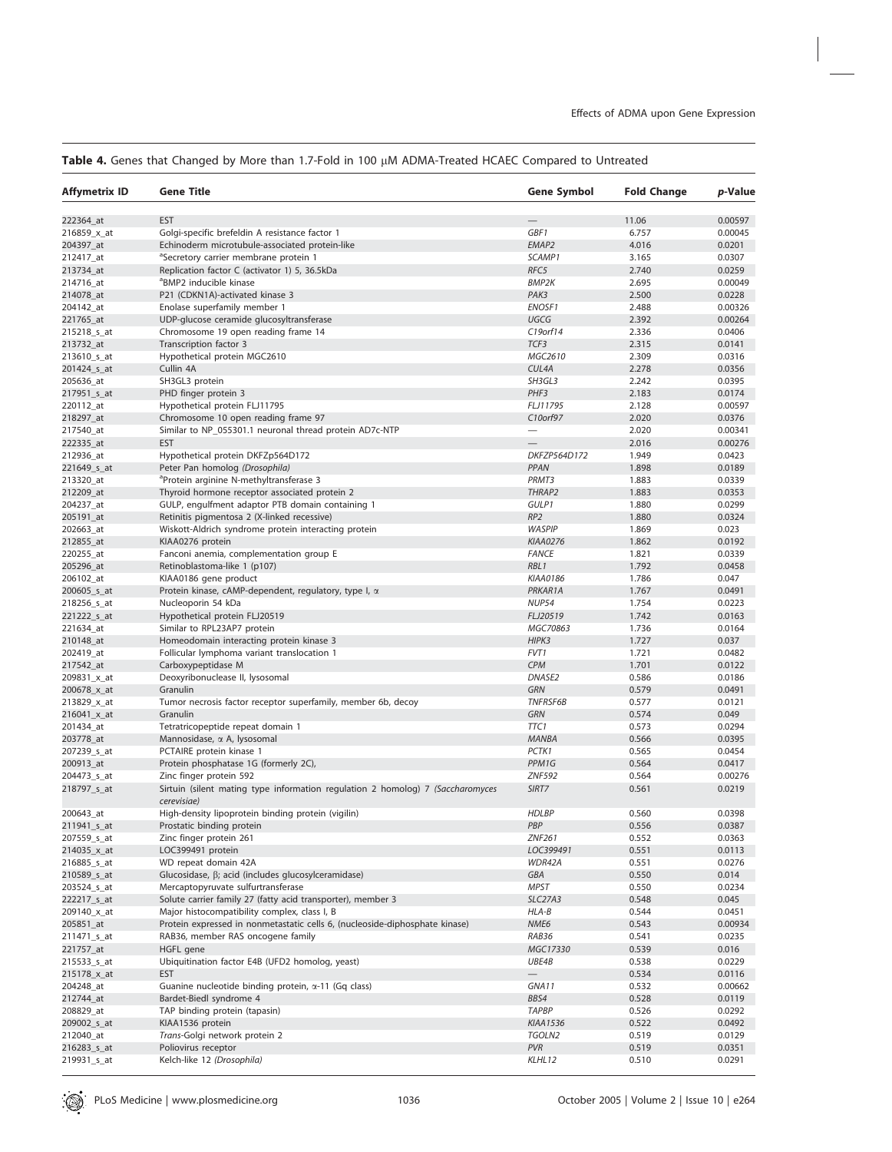# Table 4. Genes that Changed by More than 1.7-Fold in 100 µM ADMA-Treated HCAEC Compared to Untreated

| Affymetrix ID | <b>Gene Title</b>                                                                             | Gene Symbol              | <b>Fold Change</b> | p-Value           |
|---------------|-----------------------------------------------------------------------------------------------|--------------------------|--------------------|-------------------|
| 222364_at     | <b>EST</b>                                                                                    |                          | 11.06              | 0.00597           |
| 216859_x_at   | Golgi-specific brefeldin A resistance factor 1                                                | GBF1                     | 6.757              | 0.00045           |
| 204397_at     | Echinoderm microtubule-associated protein-like                                                | EMAP2                    | 4.016              | 0.0201            |
| 212417 at     | <sup>a</sup> Secretory carrier membrane protein 1                                             | SCAMP1                   | 3.165              | 0.0307            |
| 213734_at     | Replication factor C (activator 1) 5, 36.5kDa                                                 | RFC5                     | 2.740              | 0.0259            |
| 214716_at     | <sup>a</sup> BMP2 inducible kinase                                                            | <b>BMP2K</b>             | 2.695              | 0.00049           |
| 214078_at     | P21 (CDKN1A)-activated kinase 3                                                               | PAK3                     | 2.500              | 0.0228            |
| 204142_at     | Enolase superfamily member 1                                                                  | ENOSF1                   | 2.488              | 0.00326           |
| 221765_at     | UDP-glucose ceramide glucosyltransferase                                                      | UGCG                     | 2.392              | 0.00264           |
| 215218_s_at   | Chromosome 19 open reading frame 14                                                           | C19orf14                 | 2.336              | 0.0406            |
| 213732 at     | Transcription factor 3                                                                        | TCF3                     | 2.315              | 0.0141            |
| 213610_s_at   | Hypothetical protein MGC2610                                                                  | MGC2610                  | 2.309              | 0.0316            |
| 201424_s_at   | Cullin 4A                                                                                     | CUL4A                    | 2.278              | 0.0356            |
| 205636_at     | SH3GL3 protein                                                                                | SH3GL3                   | 2.242              | 0.0395            |
| 217951_s_at   | PHD finger protein 3                                                                          | PHF3                     | 2.183              | 0.0174            |
| 220112_at     | Hypothetical protein FLJ11795                                                                 | FLJ11795                 | 2.128              | 0.00597           |
| 218297_at     | Chromosome 10 open reading frame 97                                                           | C10orf97                 | 2.020              | 0.0376            |
| 217540_at     | Similar to NP_055301.1 neuronal thread protein AD7c-NTP                                       |                          | 2.020              | 0.00341           |
| 222335_at     | <b>EST</b>                                                                                    |                          | 2.016              | 0.00276           |
| 212936_at     | Hypothetical protein DKFZp564D172                                                             | DKFZP564D172             | 1.949              | 0.0423            |
| 221649_s_at   | Peter Pan homolog (Drosophila)                                                                | PPAN                     | 1.898              | 0.0189            |
| 213320_at     | <sup>a</sup> Protein arginine N-methyltransferase 3                                           | PRMT3                    | 1.883              | 0.0339            |
| 212209_at     | Thyroid hormone receptor associated protein 2                                                 | THRAP2                   | 1.883              | 0.0353            |
| 204237_at     | GULP, engulfment adaptor PTB domain containing 1                                              | GULP1                    | 1.880              | 0.0299            |
| 205191_at     | Retinitis pigmentosa 2 (X-linked recessive)                                                   | RP <sub>2</sub>          | 1.880              | 0.0324            |
| 202663_at     | Wiskott-Aldrich syndrome protein interacting protein                                          | <b>WASPIP</b>            | 1.869              | 0.023             |
| 212855_at     | KIAA0276 protein                                                                              | <b>KIAA0276</b>          | 1.862              | 0.0192            |
| 220255_at     | Fanconi anemia, complementation group E                                                       | <b>FANCE</b>             | 1.821              | 0.0339            |
| 205296_at     | Retinoblastoma-like 1 (p107)                                                                  | RBL1                     | 1.792              | 0.0458            |
| 206102_at     | KIAA0186 gene product                                                                         | <b>KIAA0186</b>          | 1.786              | 0.047             |
| 200605_s_at   | Protein kinase, cAMP-dependent, regulatory, type I, $\alpha$                                  | PRKAR1A                  | 1.767              | 0.0491            |
| 218256_s_at   | Nucleoporin 54 kDa                                                                            | <b>NUP54</b>             | 1.754              | 0.0223            |
| 221222_s_at   | Hypothetical protein FLJ20519                                                                 | FLJ20519                 | 1.742              | 0.0163            |
| 221634_at     | Similar to RPL23AP7 protein                                                                   | MGC70863                 | 1.736              | 0.0164            |
| 210148_at     | Homeodomain interacting protein kinase 3                                                      | HIPK3                    | 1.727              | 0.037             |
| 202419_at     | Follicular lymphoma variant translocation 1                                                   | FVT1                     | 1.721              | 0.0482            |
| 217542_at     | Carboxypeptidase M                                                                            | <b>CPM</b>               | 1.701              | 0.0122            |
| 209831_x_at   | Deoxyribonuclease II, lysosomal                                                               | DNASE2                   | 0.586              | 0.0186            |
| 200678_x_at   | Granulin                                                                                      | <b>GRN</b>               | 0.579              | 0.0491            |
| 213829_x_at   | Tumor necrosis factor receptor superfamily, member 6b, decoy                                  | <b>TNFRSF6B</b>          | 0.577              | 0.0121            |
| 216041_x_at   | Granulin                                                                                      | <b>GRN</b>               | 0.574              | 0.049             |
| 201434_at     | Tetratricopeptide repeat domain 1                                                             | TTC1                     | 0.573              | 0.0294            |
| 203778_at     | Mannosidase, a A, lysosomal                                                                   | <b>MANBA</b>             | 0.566              | 0.0395            |
| 207239_s_at   | PCTAIRE protein kinase 1                                                                      | PCTK1<br>PPM1G           | 0.565              | 0.0454            |
| 200913_at     | Protein phosphatase 1G (formerly 2C),                                                         | ZNF592                   | 0.564              | 0.0417<br>0.00276 |
| 204473_s_at   | Zinc finger protein 592                                                                       | SIRT7                    | 0.564<br>0.561     | 0.0219            |
| 218797_s_at   | Sirtuin (silent mating type information regulation 2 homolog) 7 (Saccharomyces<br>cerevisiae) |                          |                    |                   |
| 200643_at     | High-density lipoprotein binding protein (vigilin)                                            | <b>HDLBP</b>             | 0.560              | 0.0398            |
| 211941_s_at   | Prostatic binding protein                                                                     | PBP                      | 0.556              | 0.0387            |
| 207559_s_at   | Zinc finger protein 261                                                                       | ZNF261                   | 0.552              | 0.0363            |
| 214035_x_at   | LOC399491 protein                                                                             | LOC399491                | 0.551              | 0.0113            |
| 216885_s_at   | WD repeat domain 42A                                                                          | WDR42A                   | 0.551              | 0.0276            |
| 210589_s_at   | Glucosidase, B; acid (includes glucosylceramidase)                                            | GBA                      | 0.550              | 0.014             |
| 203524 s at   | Mercaptopyruvate sulfurtransferase                                                            | <b>MPST</b>              | 0.550              | 0.0234            |
| 222217_s_at   | Solute carrier family 27 (fatty acid transporter), member 3                                   | SLC27A3                  | 0.548              | 0.045             |
| 209140_x_at   | Major histocompatibility complex, class I, B                                                  | HLA-B                    | 0.544              | 0.0451            |
| 205851_at     | Protein expressed in nonmetastatic cells 6, (nucleoside-diphosphate kinase)                   | NME6                     | 0.543              | 0.00934           |
| 211471 s at   | RAB36, member RAS oncogene family                                                             | RAB36                    | 0.541              | 0.0235            |
| 221757_at     | HGFL gene                                                                                     | MGC17330                 | 0.539              | 0.016             |
| 215533_s_at   | Ubiquitination factor E4B (UFD2 homolog, yeast)                                               | UBE4B                    | 0.538              | 0.0229            |
| 215178_x_at   | <b>EST</b>                                                                                    | $\overline{\phantom{0}}$ | 0.534              | 0.0116            |
| 204248_at     | Guanine nucleotide binding protein, $\alpha$ -11 (Gq class)                                   | GNA11                    | 0.532              | 0.00662           |
| 212744_at     | Bardet-Biedl syndrome 4                                                                       | BBS4                     | 0.528              | 0.0119            |
| 208829_at     | TAP binding protein (tapasin)                                                                 | <b>TAPBP</b>             | 0.526              | 0.0292            |
| 209002_s_at   | KIAA1536 protein                                                                              | <b>KIAA1536</b>          | 0.522              | 0.0492            |
| 212040_at     | Trans-Golgi network protein 2                                                                 | TGOLN2                   | 0.519              | 0.0129            |
| 216283_s_at   | Poliovirus receptor                                                                           | PVR                      | 0.519              | 0.0351            |
| 219931_s_at   | Kelch-like 12 (Drosophila)                                                                    | KLHL12                   | 0.510              | 0.0291            |

PLoS Medicine | www.plosmedicine.org | Note | 1036 | October 2005 | Volume 2 | Issue 10 | e264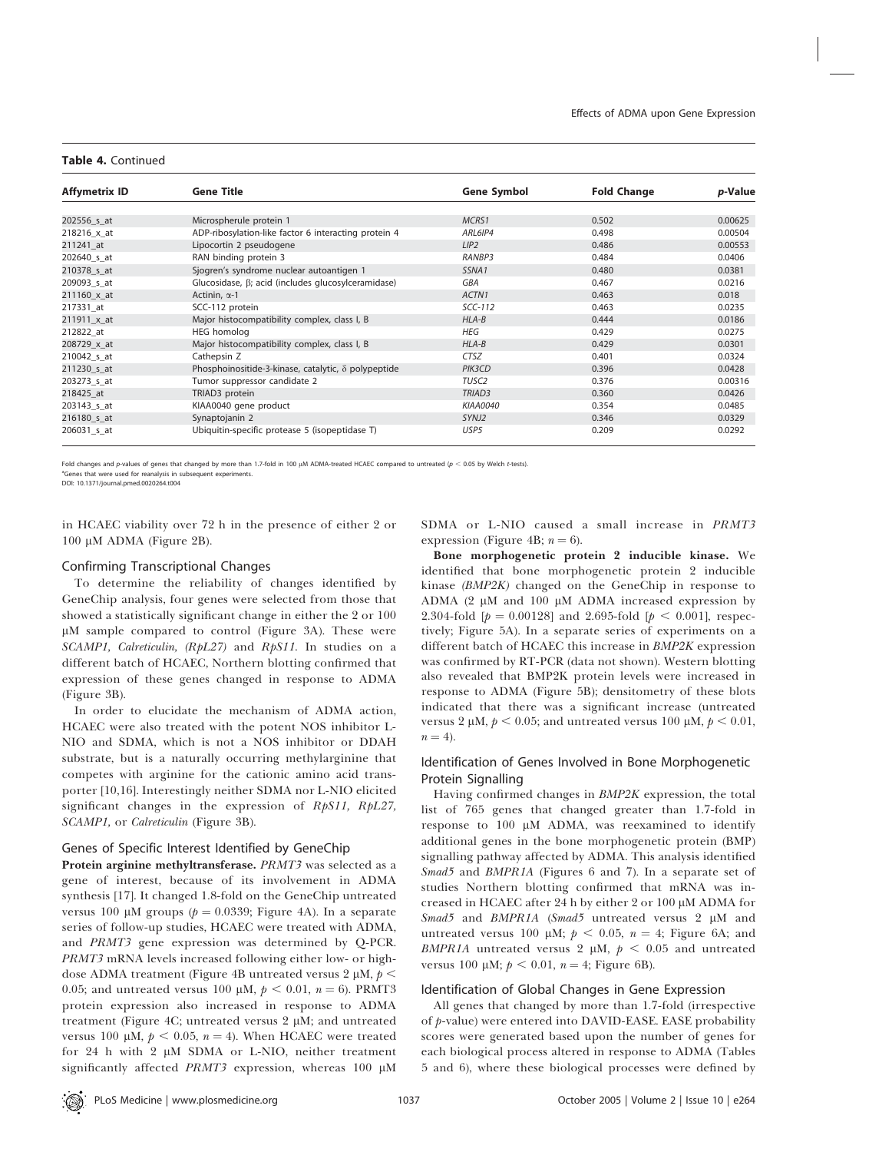#### Table 4. Continued

| <b>Affymetrix ID</b> | <b>Gene Title</b>                                          | <b>Gene Symbol</b> | <b>Fold Change</b> | <i>p</i> -Value |
|----------------------|------------------------------------------------------------|--------------------|--------------------|-----------------|
|                      |                                                            |                    |                    |                 |
| 202556 s at          | Microspherule protein 1                                    | MCRS1              | 0.502              | 0.00625         |
| $218216 \times at$   | ADP-ribosylation-like factor 6 interacting protein 4       | ARL6IP4            | 0.498              | 0.00504         |
| 211241 at            | Lipocortin 2 pseudogene                                    | LIP2               | 0.486              | 0.00553         |
| 202640 s at          | RAN binding protein 3                                      | RANBP3             | 0.484              | 0.0406          |
| 210378 s at          | Sjogren's syndrome nuclear autoantigen 1                   | SSNA <sub>1</sub>  | 0.480              | 0.0381          |
| 209093 s at          | Glucosidase, $\beta$ ; acid (includes glucosylceramidase)  | <b>GBA</b>         | 0.467              | 0.0216          |
| 211160 x at          | Actinin, $\alpha$ -1                                       | ACTN1              | 0.463              | 0.018           |
| 217331 at            | SCC-112 protein                                            | $SCC-112$          | 0.463              | 0.0235          |
| 211911 x at          | Major histocompatibility complex, class I, B               | $HLA-B$            | 0.444              | 0.0186          |
| 212822 at            | <b>HEG</b> homolog                                         | HEG                | 0.429              | 0.0275          |
| 208729 x at          | Major histocompatibility complex, class I, B               | $HLA-B$            | 0.429              | 0.0301          |
| 210042 s at          | Cathepsin Z                                                | <b>CTSZ</b>        | 0.401              | 0.0324          |
| 211230 s at          | Phosphoinositide-3-kinase, catalytic, $\delta$ polypeptide | PIK3CD             | 0.396              | 0.0428          |
| 203273 s at          | Tumor suppressor candidate 2                               | TUSC <sub>2</sub>  | 0.376              | 0.00316         |
| 218425 at            | TRIAD3 protein                                             | TRIAD <sub>3</sub> | 0.360              | 0.0426          |
| 203143 s at          | KIAA0040 gene product                                      | KIAA0040           | 0.354              | 0.0485          |
| 216180_s_at          | Synaptojanin 2                                             | SYNJ2              | 0.346              | 0.0329          |
| 206031 s at          | Ubiquitin-specific protease 5 (isopeptidase T)             | USP5               | 0.209              | 0.0292          |

Fold changes and p-values of genes that changed by more than 1.7-fold in 100 µM ADMA-treated HCAEC compared to untreated ( $p < 0.05$  by Welch t-tests). <sup>a</sup>Genes that were used for reanalysis in subsequent experiments.

DOI: 10.1371/journal.pmed.0020264.t004

in HCAEC viability over 72 h in the presence of either 2 or 100 μM ADMA (Figure 2B).

## Confirming Transcriptional Changes

To determine the reliability of changes identified by GeneChip analysis, four genes were selected from those that showed a statistically significant change in either the 2 or 100  $\mu$ M sample compared to control (Figure 3A). These were SCAMP1, Calreticulin, (RpL27) and RpS11. In studies on a different batch of HCAEC, Northern blotting confirmed that expression of these genes changed in response to ADMA (Figure 3B).

In order to elucidate the mechanism of ADMA action, HCAEC were also treated with the potent NOS inhibitor L-NIO and SDMA, which is not a NOS inhibitor or DDAH substrate, but is a naturally occurring methylarginine that competes with arginine for the cationic amino acid transporter [10,16]. Interestingly neither SDMA nor L-NIO elicited significant changes in the expression of RpS11, RpL27, SCAMP1, or Calreticulin (Figure 3B).

## Genes of Specific Interest Identified by GeneChip

Protein arginine methyltransferase. PRMT3 was selected as a gene of interest, because of its involvement in ADMA synthesis [17]. It changed 1.8-fold on the GeneChip untreated versus 100 µM groups ( $p = 0.0339$ ; Figure 4A). In a separate series of follow-up studies, HCAEC were treated with ADMA, and PRMT3 gene expression was determined by Q-PCR. PRMT3 mRNA levels increased following either low- or highdose ADMA treatment (Figure 4B untreated versus 2  $\mu$ M,  $p$  < 0.05; and untreated versus 100  $\mu$ M,  $p < 0.01$ ,  $n = 6$ ). PRMT3 protein expression also increased in response to ADMA treatment (Figure 4C; untreated versus 2  $\mu$ M; and untreated versus 100  $\mu$ M,  $p < 0.05$ ,  $n = 4$ ). When HCAEC were treated for  $24$  h with  $2 \mu M$  SDMA or L-NIO, neither treatment significantly affected PRMT3 expression, whereas  $100 \mu M$ 

SDMA or L-NIO caused a small increase in PRMT3 expression (Figure 4B;  $n = 6$ ).

Bone morphogenetic protein 2 inducible kinase. We identified that bone morphogenetic protein 2 inducible kinase (BMP2K) changed on the GeneChip in response to ADMA  $(2 \mu M$  and  $100 \mu M$  ADMA increased expression by 2.304-fold  $[p = 0.00128]$  and 2.695-fold  $[p < 0.001]$ , respectively; Figure 5A). In a separate series of experiments on a different batch of HCAEC this increase in BMP2K expression was confirmed by RT-PCR (data not shown). Western blotting also revealed that BMP2K protein levels were increased in response to ADMA (Figure 5B); densitometry of these blots indicated that there was a significant increase (untreated versus 2  $\mu$ M,  $p < 0.05$ ; and untreated versus 100  $\mu$ M,  $p < 0.01$ ,  $n = 4$ ).

## Identification of Genes Involved in Bone Morphogenetic Protein Signalling

Having confirmed changes in BMP2K expression, the total list of 765 genes that changed greater than 1.7-fold in response to 100 µM ADMA, was reexamined to identify additional genes in the bone morphogenetic protein (BMP) signalling pathway affected by ADMA. This analysis identified Smad5 and BMPR1A (Figures 6 and 7). In a separate set of studies Northern blotting confirmed that mRNA was increased in HCAEC after 24 h by either 2 or 100 µM ADMA for Smad5 and BMPR1A (Smad5 untreated versus 2 µM and untreated versus 100  $\mu$ M;  $p < 0.05$ ,  $n = 4$ ; Figure 6A; and BMPR1A untreated versus 2  $\mu$ M,  $p < 0.05$  and untreated versus 100  $\mu$ M;  $p < 0.01$ ,  $n = 4$ ; Figure 6B).

## Identification of Global Changes in Gene Expression

All genes that changed by more than 1.7-fold (irrespective of p-value) were entered into DAVID-EASE. EASE probability scores were generated based upon the number of genes for each biological process altered in response to ADMA (Tables 5 and 6), where these biological processes were defined by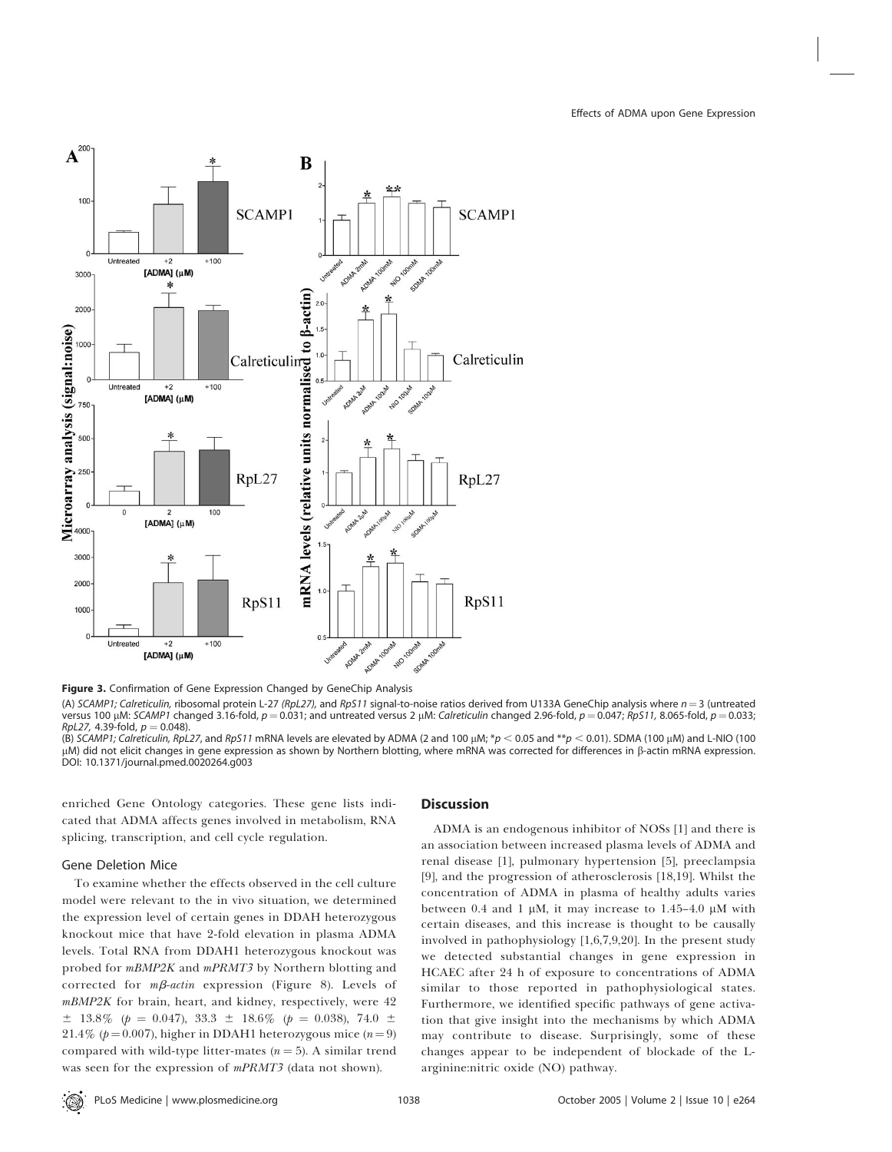

Figure 3. Confirmation of Gene Expression Changed by GeneChip Analysis

(A) SCAMP1; Calreticulin, ribosomal protein L-27 (RpL27), and RpS11 signal-to-noise ratios derived from U133A GeneChip analysis where  $n=3$  (untreated versus 100 µM: SCAMP1 changed 3.16-fold,  $p = 0.031$ ; and untreated versus 2 µM: Calreticulin changed 2.96-fold,  $p = 0.047$ ; RpS11, 8.065-fold,  $p = 0.033$ ;  $RpL27$ , 4.39-fold,  $p = 0.048$ 

(B) SCAMP1; Calreticulin, RpL27, and RpS11 mRNA levels are elevated by ADMA (2 and 100 µM; \*p < 0.05 and \*\*p < 0.01). SDMA (100 µM) and L-NIO (100  $\mu$ M) did not elicit changes in gene expression as shown by Northern blotting, where mRNA was corrected for differences in  $\beta$ -actin mRNA expression. DOI: 10.1371/journal.pmed.0020264.g003

enriched Gene Ontology categories. These gene lists indicated that ADMA affects genes involved in metabolism, RNA splicing, transcription, and cell cycle regulation.

## Gene Deletion Mice

To examine whether the effects observed in the cell culture model were relevant to the in vivo situation, we determined the expression level of certain genes in DDAH heterozygous knockout mice that have 2-fold elevation in plasma ADMA levels. Total RNA from DDAH1 heterozygous knockout was probed for *mBMP2K* and *mPRMT3* by Northern blotting and corrected for  $m\beta$ -actin expression (Figure 8). Levels of mBMP2K for brain, heart, and kidney, respectively, were 42  $\pm$  13.8% (p = 0.047), 33.3  $\pm$  18.6% (p = 0.038), 74.0  $\pm$ 21.4% ( $p = 0.007$ ), higher in DDAH1 heterozygous mice ( $n = 9$ ) compared with wild-type litter-mates  $(n = 5)$ . A similar trend was seen for the expression of mPRMT3 (data not shown).

## **Discussion**

ADMA is an endogenous inhibitor of NOSs [1] and there is an association between increased plasma levels of ADMA and renal disease [1], pulmonary hypertension [5], preeclampsia [9], and the progression of atherosclerosis [18,19]. Whilst the concentration of ADMA in plasma of healthy adults varies between 0.4 and 1  $\mu$ M, it may increase to 1.45-4.0  $\mu$ M with certain diseases, and this increase is thought to be causally involved in pathophysiology [1,6,7,9,20]. In the present study we detected substantial changes in gene expression in HCAEC after 24 h of exposure to concentrations of ADMA similar to those reported in pathophysiological states. Furthermore, we identified specific pathways of gene activation that give insight into the mechanisms by which ADMA may contribute to disease. Surprisingly, some of these changes appear to be independent of blockade of the Larginine:nitric oxide (NO) pathway.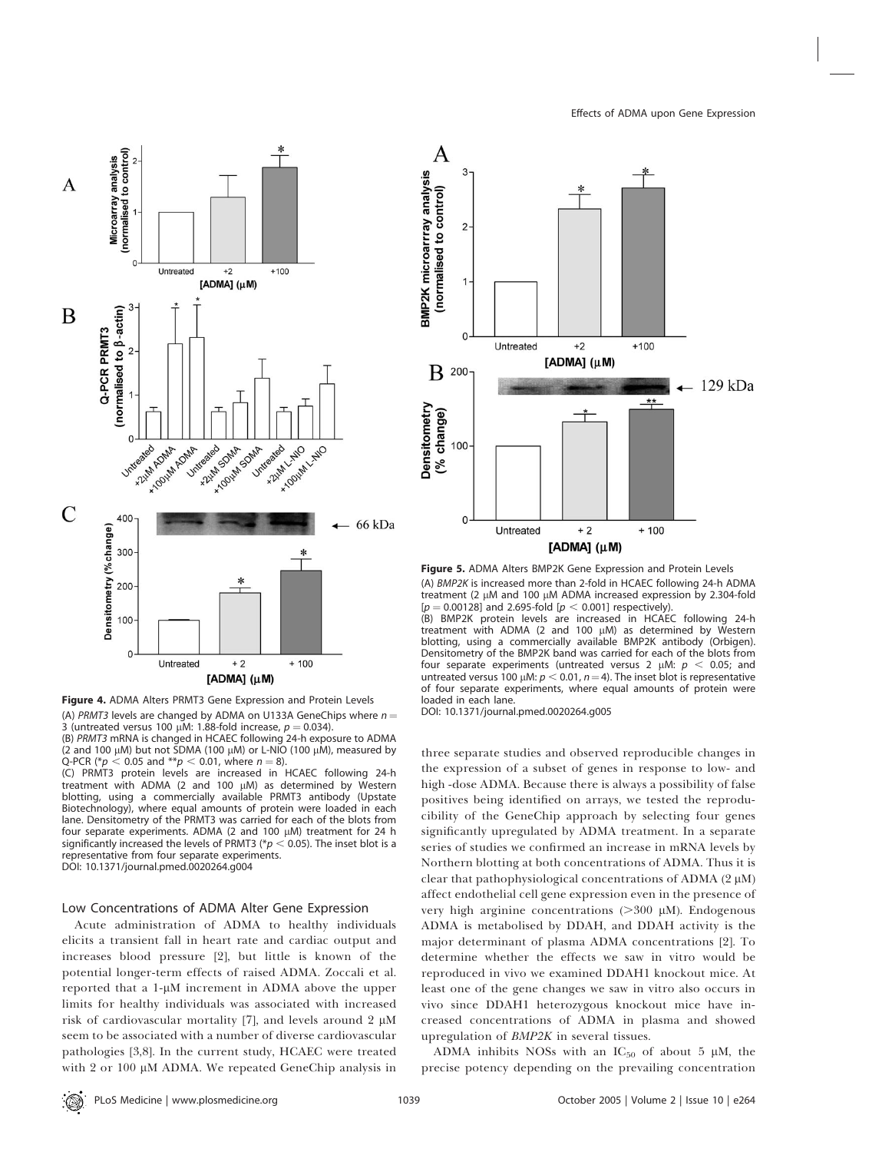



Figure 4. ADMA Alters PRMT3 Gene Expression and Protein Levels

(A) PRMT3 levels are changed by ADMA on U133A GeneChips where  $n =$ 3 (untreated versus 100  $\mu$ M: 1.88-fold increase,  $p = 0.034$ ). (B) PRMT3 mRNA is changed in HCAEC following 24-h exposure to ADMA

(2 and 100  $\mu$ M) but not SDMA (100  $\mu$ M) or L-NIO (100  $\mu$ M), measured by Q-PCR (\* $p < 0.05$  and \*\* $p < 0.01$ , where  $n = 8$ ).

(C) PRMT3 protein levels are increased in HCAEC following 24-h treatment with ADMA (2 and 100  $\mu$ M) as determined by Western blotting, using a commercially available PRMT3 antibody (Upstate Biotechnology), where equal amounts of protein were loaded in each lane. Densitometry of the PRMT3 was carried for each of the blots from four separate experiments. ADMA (2 and 100  $\mu$ M) treatment for 24 h significantly increased the levels of PRMT3 ( $p < 0.05$ ). The inset blot is a representative from four separate experiments. DOI: 10.1371/journal.pmed.0020264.g004

#### Low Concentrations of ADMA Alter Gene Expression

Acute administration of ADMA to healthy individuals elicits a transient fall in heart rate and cardiac output and increases blood pressure [2], but little is known of the potential longer-term effects of raised ADMA. Zoccali et al. reported that a  $1-\mu M$  increment in ADMA above the upper limits for healthy individuals was associated with increased risk of cardiovascular mortality [7], and levels around  $2 \mu M$ seem to be associated with a number of diverse cardiovascular pathologies [3,8]. In the current study, HCAEC were treated with 2 or 100 µM ADMA. We repeated GeneChip analysis in



Figure 5. ADMA Alters BMP2K Gene Expression and Protein Levels (A) BMP2K is increased more than 2-fold in HCAEC following 24-h ADMA treatment (2  $\mu$ M and 100  $\mu$ M ADMA increased expression by 2.304-fold  $[p = 0.00128]$  and 2.695-fold  $[p < 0.001]$  respectively).

(B) BMP2K protein levels are increased in HCAEC following 24-h treatment with ADMA (2 and 100  $\mu$ M) as determined by Western blotting, using a commercially available BMP2K antibody (Orbigen). Densitometry of the BMP2K band was carried for each of the blots from four separate experiments (untreated versus 2  $\mu$ M:  $p$  < 0.05; and untreated versus 100  $\mu$ M:  $p < 0.01$ ,  $n = 4$ ). The inset blot is representative of four separate experiments, where equal amounts of protein were loaded in each lane.

DOI: 10.1371/journal.pmed.0020264.g005

three separate studies and observed reproducible changes in the expression of a subset of genes in response to low- and high -dose ADMA. Because there is always a possibility of false positives being identified on arrays, we tested the reproducibility of the GeneChip approach by selecting four genes significantly upregulated by ADMA treatment. In a separate series of studies we confirmed an increase in mRNA levels by Northern blotting at both concentrations of ADMA. Thus it is clear that pathophysiological concentrations of ADMA  $(2 \mu M)$ affect endothelial cell gene expression even in the presence of very high arginine concentrations  $(>300 \mu M)$ . Endogenous ADMA is metabolised by DDAH, and DDAH activity is the major determinant of plasma ADMA concentrations [2]. To determine whether the effects we saw in vitro would be reproduced in vivo we examined DDAH1 knockout mice. At least one of the gene changes we saw in vitro also occurs in vivo since DDAH1 heterozygous knockout mice have increased concentrations of ADMA in plasma and showed upregulation of BMP2K in several tissues.

ADMA inhibits NOSs with an  $IC_{50}$  of about 5  $\mu$ M, the precise potency depending on the prevailing concentration

PLoS Medicine | www.plosmedicine.org | November 2005 | Volume 2 | Issue 10 | e264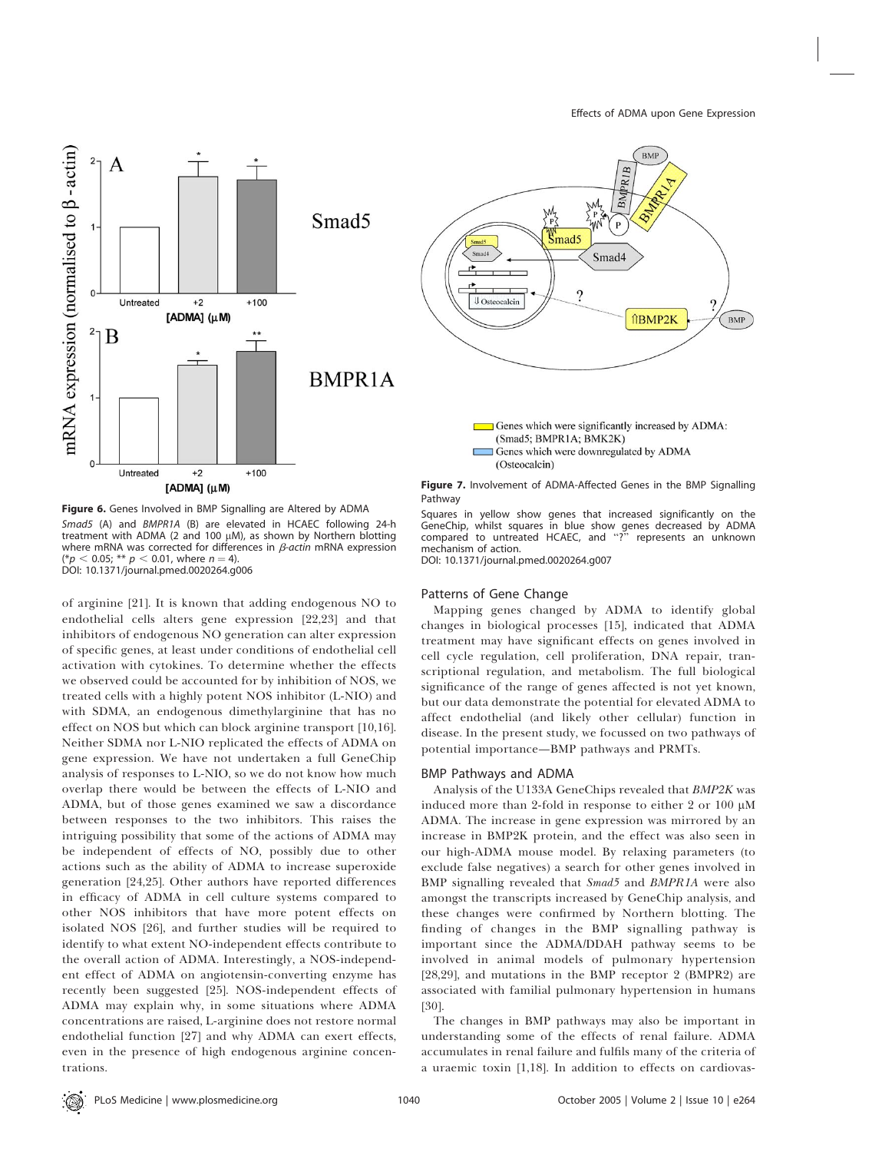

Figure 6. Genes Involved in BMP Signalling are Altered by ADMA Smad5 (A) and BMPR1A (B) are elevated in HCAEC following 24-h treatment with ADMA (2 and 100  $\mu$ M), as shown by Northern blotting where mRNA was corrected for differences in  $\beta$ -actin mRNA expression  $(*p < 0.05; ** p < 0.01$ , where  $n = 4$ ). DOI: 10.1371/journal.pmed.0020264.g006

of arginine [21]. It is known that adding endogenous NO to endothelial cells alters gene expression [22,23] and that inhibitors of endogenous NO generation can alter expression of specific genes, at least under conditions of endothelial cell activation with cytokines. To determine whether the effects we observed could be accounted for by inhibition of NOS, we treated cells with a highly potent NOS inhibitor (L-NIO) and with SDMA, an endogenous dimethylarginine that has no effect on NOS but which can block arginine transport [10,16]. Neither SDMA nor L-NIO replicated the effects of ADMA on gene expression. We have not undertaken a full GeneChip analysis of responses to L-NIO, so we do not know how much overlap there would be between the effects of L-NIO and ADMA, but of those genes examined we saw a discordance between responses to the two inhibitors. This raises the intriguing possibility that some of the actions of ADMA may be independent of effects of NO, possibly due to other actions such as the ability of ADMA to increase superoxide generation [24,25]. Other authors have reported differences in efficacy of ADMA in cell culture systems compared to other NOS inhibitors that have more potent effects on isolated NOS [26], and further studies will be required to identify to what extent NO-independent effects contribute to the overall action of ADMA. Interestingly, a NOS-independent effect of ADMA on angiotensin-converting enzyme has recently been suggested [25]. NOS-independent effects of ADMA may explain why, in some situations where ADMA concentrations are raised, L-arginine does not restore normal endothelial function [27] and why ADMA can exert effects, even in the presence of high endogenous arginine concentrations.

Pathway

Squares in yellow show genes that increased significantly on the GeneChip, whilst squares in blue show genes decreased by ADMA compared to untreated HCAEC, and ''?'' represents an unknown mechanism of action. DOI: 10.1371/journal.pmed.0020264.g007

## Patterns of Gene Change

Mapping genes changed by ADMA to identify global changes in biological processes [15], indicated that ADMA treatment may have significant effects on genes involved in cell cycle regulation, cell proliferation, DNA repair, transcriptional regulation, and metabolism. The full biological significance of the range of genes affected is not yet known, but our data demonstrate the potential for elevated ADMA to affect endothelial (and likely other cellular) function in disease. In the present study, we focussed on two pathways of potential importance—BMP pathways and PRMTs.

#### BMP Pathways and ADMA

Analysis of the U133A GeneChips revealed that BMP2K was induced more than 2-fold in response to either 2 or 100  $\mu$ M ADMA. The increase in gene expression was mirrored by an increase in BMP2K protein, and the effect was also seen in our high-ADMA mouse model. By relaxing parameters (to exclude false negatives) a search for other genes involved in BMP signalling revealed that Smad5 and BMPR1A were also amongst the transcripts increased by GeneChip analysis, and these changes were confirmed by Northern blotting. The finding of changes in the BMP signalling pathway is important since the ADMA/DDAH pathway seems to be involved in animal models of pulmonary hypertension [28,29], and mutations in the BMP receptor 2 (BMPR2) are associated with familial pulmonary hypertension in humans [30].

The changes in BMP pathways may also be important in understanding some of the effects of renal failure. ADMA accumulates in renal failure and fulfils many of the criteria of a uraemic toxin [1,18]. In addition to effects on cardiovas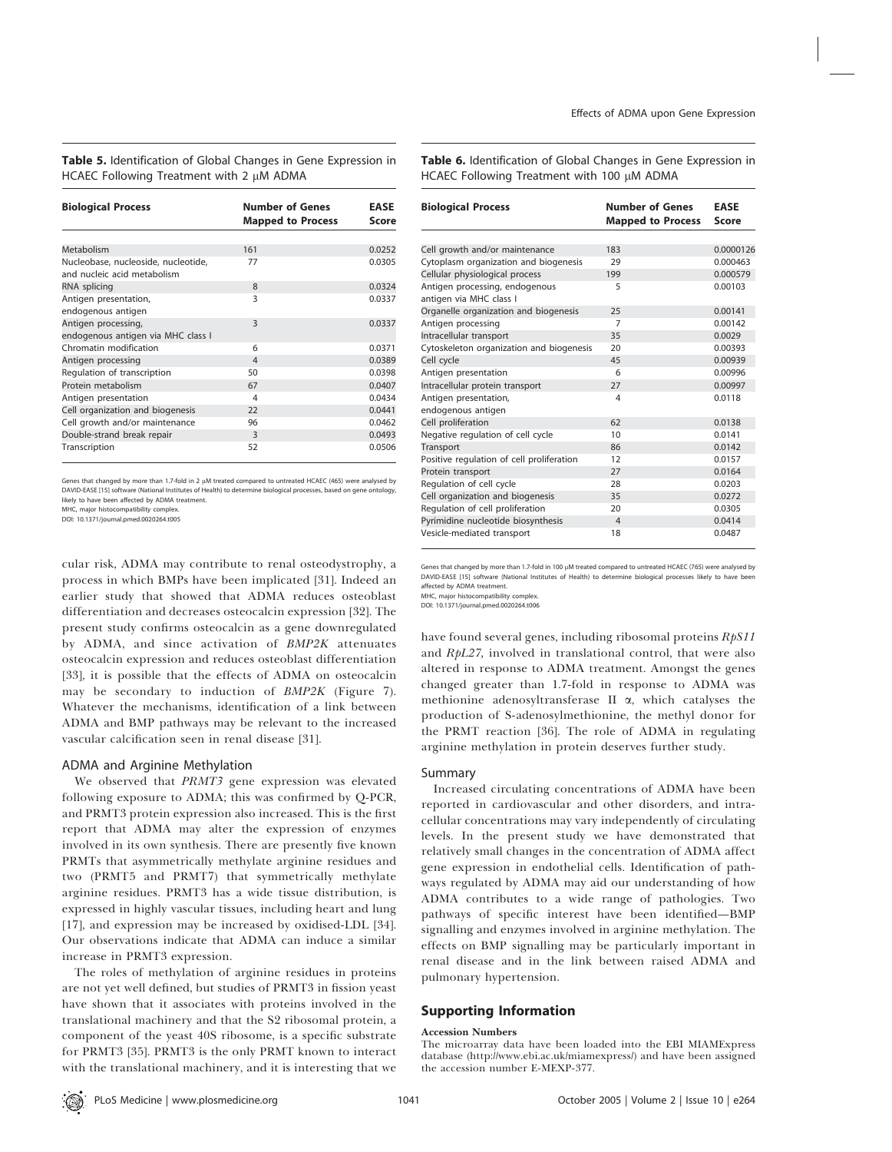Table 5. Identification of Global Changes in Gene Expression in HCAEC Following Treatment with 2  $\mu$ M ADMA

| <b>Biological Process</b>                                          | <b>Number of Genes</b><br><b>Mapped to Process</b> | EASE<br>Score |
|--------------------------------------------------------------------|----------------------------------------------------|---------------|
|                                                                    |                                                    |               |
| Metabolism                                                         | 161                                                | 0.0252        |
| Nucleobase, nucleoside, nucleotide,<br>and nucleic acid metabolism | 77                                                 | 0.0305        |
| RNA splicing                                                       | 8                                                  | 0.0324        |
| Antigen presentation,<br>endogenous antigen                        | ξ                                                  | 0.0337        |
| Antigen processing,<br>endogenous antigen via MHC class I          | 3                                                  | 0.0337        |
| Chromatin modification                                             | 6                                                  | 0.0371        |
| Antigen processing                                                 | $\overline{4}$                                     | 0.0389        |
| Regulation of transcription                                        | 50                                                 | 0.0398        |
| Protein metabolism                                                 | 67                                                 | 0.0407        |
| Antigen presentation                                               | 4                                                  | 0.0434        |
| Cell organization and biogenesis                                   | 22                                                 | 0.0441        |
| Cell growth and/or maintenance                                     | 96                                                 | 0.0462        |
| Double-strand break repair                                         | 3                                                  | 0.0493        |
| Transcription                                                      | 52                                                 | 0.0506        |

Genes that changed by more than 1.7-fold in 2 µM treated compared to untreated HCAEC (465) were analysed by DAVID-EASE [15] software (National Institutes of Health) to determine biological processes, based on gene ontology, likely to have been affected by ADMA treatment. MHC, major histocompatibility complex.

DOI: 10.1371/journal.pmed.0020264.t005

cular risk, ADMA may contribute to renal osteodystrophy, a process in which BMPs have been implicated [31]. Indeed an earlier study that showed that ADMA reduces osteoblast differentiation and decreases osteocalcin expression [32]. The present study confirms osteocalcin as a gene downregulated by ADMA, and since activation of BMP2K attenuates osteocalcin expression and reduces osteoblast differentiation [33], it is possible that the effects of ADMA on osteocalcin may be secondary to induction of BMP2K (Figure 7). Whatever the mechanisms, identification of a link between ADMA and BMP pathways may be relevant to the increased vascular calcification seen in renal disease [31].

#### ADMA and Arginine Methylation

We observed that PRMT3 gene expression was elevated following exposure to ADMA; this was confirmed by Q-PCR, and PRMT3 protein expression also increased. This is the first report that ADMA may alter the expression of enzymes involved in its own synthesis. There are presently five known PRMTs that asymmetrically methylate arginine residues and two (PRMT5 and PRMT7) that symmetrically methylate arginine residues. PRMT3 has a wide tissue distribution, is expressed in highly vascular tissues, including heart and lung [17], and expression may be increased by oxidised-LDL [34]. Our observations indicate that ADMA can induce a similar increase in PRMT3 expression.

The roles of methylation of arginine residues in proteins are not yet well defined, but studies of PRMT3 in fission yeast have shown that it associates with proteins involved in the translational machinery and that the S2 ribosomal protein, a component of the yeast 40S ribosome, is a specific substrate for PRMT3 [35]. PRMT3 is the only PRMT known to interact with the translational machinery, and it is interesting that we Table 6. Identification of Global Changes in Gene Expression in HCAEC Following Treatment with 100  $\mu$ M ADMA

| <b>Biological Process</b>                                 | <b>Number of Genes</b>   | <b>EASE</b>  |
|-----------------------------------------------------------|--------------------------|--------------|
|                                                           | <b>Mapped to Process</b> | <b>Score</b> |
|                                                           |                          |              |
| Cell growth and/or maintenance                            | 183                      | 0.0000126    |
| Cytoplasm organization and biogenesis                     | 29                       | 0.000463     |
| Cellular physiological process                            | 199                      | 0.000579     |
| Antigen processing, endogenous<br>antigen via MHC class I | 5                        | 0.00103      |
| Organelle organization and biogenesis                     | 25                       | 0.00141      |
| Antigen processing                                        | $\overline{7}$           | 0.00142      |
| Intracellular transport                                   | 35                       | 0.0029       |
| Cytoskeleton organization and biogenesis                  | 20                       | 0.00393      |
| Cell cycle                                                | 45                       | 0.00939      |
| Antigen presentation                                      | 6                        | 0.00996      |
| Intracellular protein transport                           | 27                       | 0.00997      |
| Antigen presentation,                                     | 4                        | 0.0118       |
| endogenous antigen                                        |                          |              |
| Cell proliferation                                        | 62                       | 0.0138       |
| Negative regulation of cell cycle                         | 10                       | 0.0141       |
| Transport                                                 | 86                       | 0.0142       |
| Positive regulation of cell proliferation                 | 12                       | 0.0157       |
| Protein transport                                         | 27                       | 0.0164       |
| Regulation of cell cycle                                  | 28                       | 0.0203       |
| Cell organization and biogenesis                          | 35                       | 0.0272       |
| Regulation of cell proliferation                          | 20                       | 0.0305       |
| Pyrimidine nucleotide biosynthesis                        | $\overline{4}$           | 0.0414       |
| Vesicle-mediated transport                                | 18                       | 0.0487       |

Genes that changed by more than 1.7-fold in 100 µM treated compared to untreated HCAEC (765) were analysed by DAVID-EASE [15] software (National Institutes of Health) to determine biological processes likely to have bee affected by ADMA treatment

MHC, major histocompatibility complex.

DOI: 10.1371/journal.pmed.0020264.t006

have found several genes, including ribosomal proteins  $RpS11$ and RpL27, involved in translational control, that were also altered in response to ADMA treatment. Amongst the genes changed greater than 1.7-fold in response to ADMA was methionine adenosyltransferase II  $\alpha$ , which catalyses the production of S-adenosylmethionine, the methyl donor for the PRMT reaction [36]. The role of ADMA in regulating arginine methylation in protein deserves further study.

#### Summary

Increased circulating concentrations of ADMA have been reported in cardiovascular and other disorders, and intracellular concentrations may vary independently of circulating levels. In the present study we have demonstrated that relatively small changes in the concentration of ADMA affect gene expression in endothelial cells. Identification of pathways regulated by ADMA may aid our understanding of how ADMA contributes to a wide range of pathologies. Two pathways of specific interest have been identified—BMP signalling and enzymes involved in arginine methylation. The effects on BMP signalling may be particularly important in renal disease and in the link between raised ADMA and pulmonary hypertension.

## Supporting Information

#### Accession Numbers

The microarray data have been loaded into the EBI MIAMExpress database (http://www.ebi.ac.uk/miamexpress/) and have been assigned the accession number E-MEXP-377.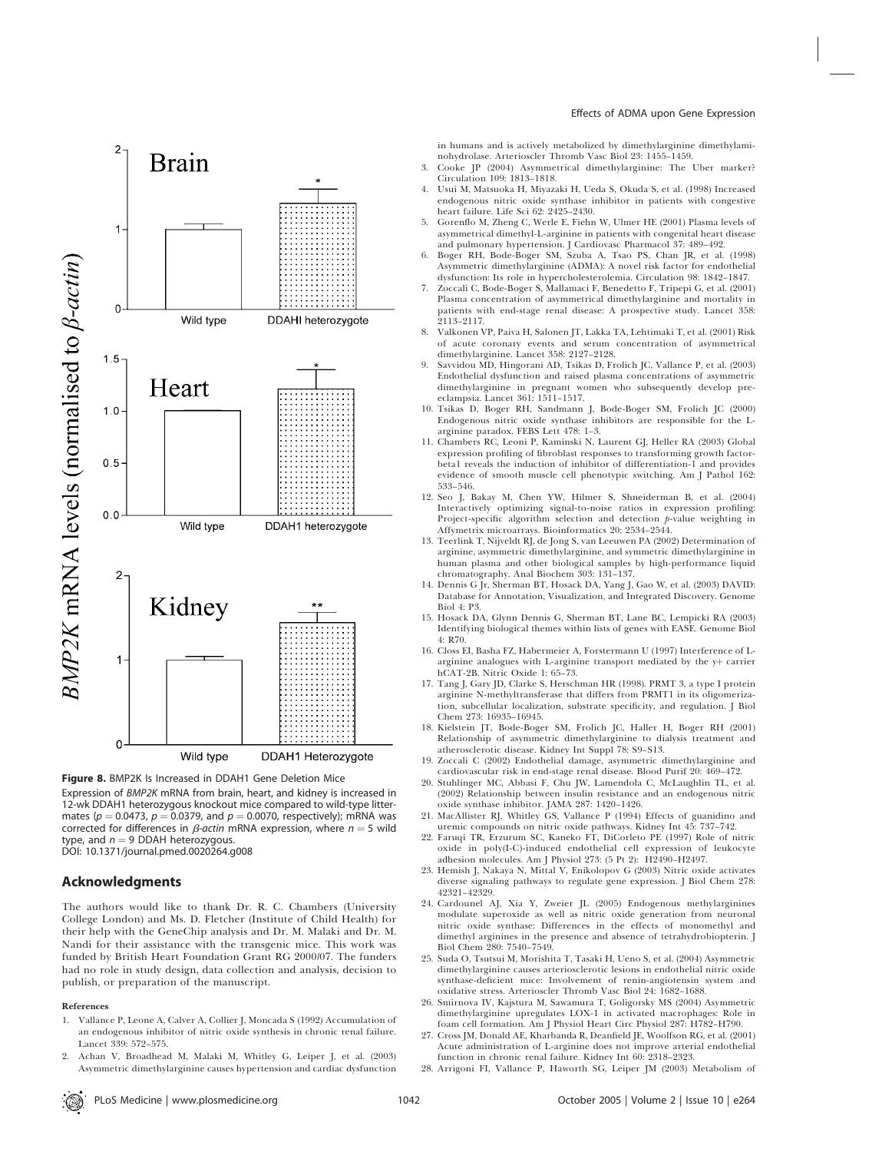

Expression of BMP2K mRNA from brain, heart, and kidney is increased in 12-wk DDAH1 heterozygous knockout mice compared to wild-type littermates ( $p = 0.0473$ ,  $p = 0.0379$ , and  $p = 0.0070$ , respectively); mRNA was corrected for differences in  $\beta$ -actin mRNA expression, where  $n = 5$  wild type, and  $n = 9$  DDAH heterozygous. DOI: 10.1371/journal.pmed.0020264.g008

## Acknowledgments

The authors would like to thank Dr. R. C. Chambers (University College London) and Ms. D. Fletcher (Institute of Child Health) for their help with the GeneChip analysis and Dr. M. Malaki and Dr. M. Nandi for their assistance with the transgenic mice. This work was funded by British Heart Foundation Grant RG 2000/07. The funders had no role in study design, data collection and analysis, decision to publish, or preparation of the manuscript.

#### References

- 1. Vallance P, Leone A, Calver A, Collier J, Moncada S (1992) Accumulation of an endogenous inhibitor of nitric oxide synthesis in chronic renal failure. Lancet 339: 572–575.
- 2. Achan V, Broadhead M, Malaki M, Whitley G, Leiper J, et al. (2003) Asymmetric dimethylarginine causes hypertension and cardiac dysfunction

in humans and is actively metabolized by dimethylarginine dimethylaminohydrolase. Arterioscler Thromb Vasc Biol 23: 1455–1459.

- 3. Cooke JP (2004) Asymmetrical dimethylarginine: The Uber marker? Circulation 109: 1813–1818.
- 4. Usui M, Matsuoka H, Miyazaki H, Ueda S, Okuda S, et al. (1998) Increased endogenous nitric oxide synthase inhibitor in patients with congestive heart failure. Life Sci 62: 2425–2430.
- 5. Gorenflo M, Zheng C, Werle E, Fiehn W, Ulmer HE (2001) Plasma levels of asymmetrical dimethyl-L-arginine in patients with congenital heart disease and pulmonary hypertension. J Cardiovasc Pharmacol 37: 489–492.
- 6. Boger RH, Bode-Boger SM, Szuba A, Tsao PS, Chan JR, et al. (1998) Asymmetric dimethylarginine (ADMA): A novel risk factor for endothelial dysfunction: Its role in hypercholesterolemia. Circulation 98: 1842–1847.
- 7. Zoccali C, Bode-Boger S, Mallamaci F, Benedetto F, Tripepi G, et al. (2001) Plasma concentration of asymmetrical dimethylarginine and mortality in patients with end-stage renal disease: A prospective study. Lancet 358: 2113–2117.
- 8. Valkonen VP, Paiva H, Salonen JT, Lakka TA, Lehtimaki T, et al. (2001) Risk of acute coronary events and serum concentration of asymmetrical dimethylarginine. Lancet 358: 2127–2128.
- 9. Savvidou MD, Hingorani AD, Tsikas D, Frolich JC, Vallance P, et al. (2003) Endothelial dysfunction and raised plasma concentrations of asymmetric dimethylarginine in pregnant women who subsequently develop preeclampsia. Lancet 361: 1511–1517.
- 10. Tsikas D, Boger RH, Sandmann J, Bode-Boger SM, Frolich JC (2000) Endogenous nitric oxide synthase inhibitors are responsible for the Larginine paradox. FEBS Lett 478: 1–3.
- 11. Chambers RC, Leoni P, Kaminski N, Laurent GJ, Heller RA (2003) Global expression profiling of fibroblast responses to transforming growth factorbeta1 reveals the induction of inhibitor of differentiation-1 and provides evidence of smooth muscle cell phenotypic switching. Am J Pathol 162: 533–546.
- 12. Seo J, Bakay M, Chen YW, Hilmer S, Shneiderman B, et al. (2004) Interactively optimizing signal-to-noise ratios in expression profiling: Project-specific algorithm selection and detection  $p$ -value weighting in Affymetrix microarrays. Bioinformatics 20: 2534–2544.
- 13. Teerlink T, Nijveldt RJ, de Jong S, van Leeuwen PA (2002) Determination of arginine, asymmetric dimethylarginine, and symmetric dimethylarginine in human plasma and other biological samples by high-performance liquid chromatography. Anal Biochem 303: 131–137.
- 14. Dennis G Jr, Sherman BT, Hosack DA, Yang J, Gao W, et al. (2003) DAVID: Database for Annotation, Visualization, and Integrated Discovery. Genome Biol 4: P3.
- 15. Hosack DA, Glynn Dennis G, Sherman BT, Lane BC, Lempicki RA (2003) Identifying biological themes within lists of genes with EASE. Genome Biol 4: R70.
- 16. Closs EI, Basha FZ, Habermeier A, Forstermann U (1997) Interference of Larginine analogues with L-arginine transport mediated by the  $y+$  carrier hCAT-2B. Nitric Oxide 1: 65–73.
- 17. Tang J, Gary JD, Clarke S, Herschman HR (1998). PRMT 3, a type I protein arginine N-methyltransferase that differs from PRMT1 in its oligomerization, subcellular localization, substrate specificity, and regulation. J Biol Chem 273: 16935–16945.
- 18. Kielstein JT, Bode-Boger SM, Frolich JC, Haller H, Boger RH (2001) Relationship of asymmetric dimethylarginine to dialysis treatment and atherosclerotic disease. Kidney Int Suppl 78: S9–S13.
- 19. Zoccali C (2002) Endothelial damage, asymmetric dimethylarginine and cardiovascular risk in end-stage renal disease. Blood Purif 20: 469–472.
- 20. Stuhlinger MC, Abbasi F, Chu JW, Lamendola C, McLaughlin TL, et al. (2002) Relationship between insulin resistance and an endogenous nitric oxide synthase inhibitor. JAMA 287: 1420–1426.
- 21. MacAllister RJ, Whitley GS, Vallance P (1994) Effects of guanidino and uremic compounds on nitric oxide pathways. Kidney Int 45: 737–742.
- 22. Faruqi TR, Erzurum SC, Kaneko FT, DiCorleto PE (1997) Role of nitric oxide in poly(I-C)-induced endothelial cell expression of leukocyte adhesion molecules. Am J Physiol 273: (5 Pt 2): H2490–H2497.
- 23. Hemish J, Nakaya N, Mittal V, Enikolopov G (2003) Nitric oxide activates diverse signaling pathways to regulate gene expression. J Biol Chem 278: 42321–42329.
- 24. Cardounel AJ, Xia Y, Zweier JL (2005) Endogenous methylarginines modulate superoxide as well as nitric oxide generation from neuronal nitric oxide synthase: Differences in the effects of monomethyl and dimethyl arginines in the presence and absence of tetrahydrobiopterin. J Biol Chem 280: 7540–7549.
- 25. Suda O, Tsutsui M, Morishita T, Tasaki H, Ueno S, et al. (2004) Asymmetric dimethylarginine causes arteriosclerotic lesions in endothelial nitric oxide synthase-deficient mice: Involvement of renin-angiotensin system and oxidative stress. Arterioscler Thromb Vasc Biol 24: 1682–1688.
- 26. Smirnova IV, Kajstura M, Sawamura T, Goligorsky MS (2004) Asymmetric dimethylarginine upregulates LOX-1 in activated macrophages: Role in foam cell formation. Am J Physiol Heart Circ Physiol 287: H782–H790.
- 27. Cross JM, Donald AE, Kharbanda R, Deanfield JE, Woolfson RG, et al. (2001) Acute administration of L-arginine does not improve arterial endothelial function in chronic renal failure. Kidney Int 60: 2318–2323.
- 28. Arrigoni FI, Vallance P, Haworth SG, Leiper JM (2003) Metabolism of